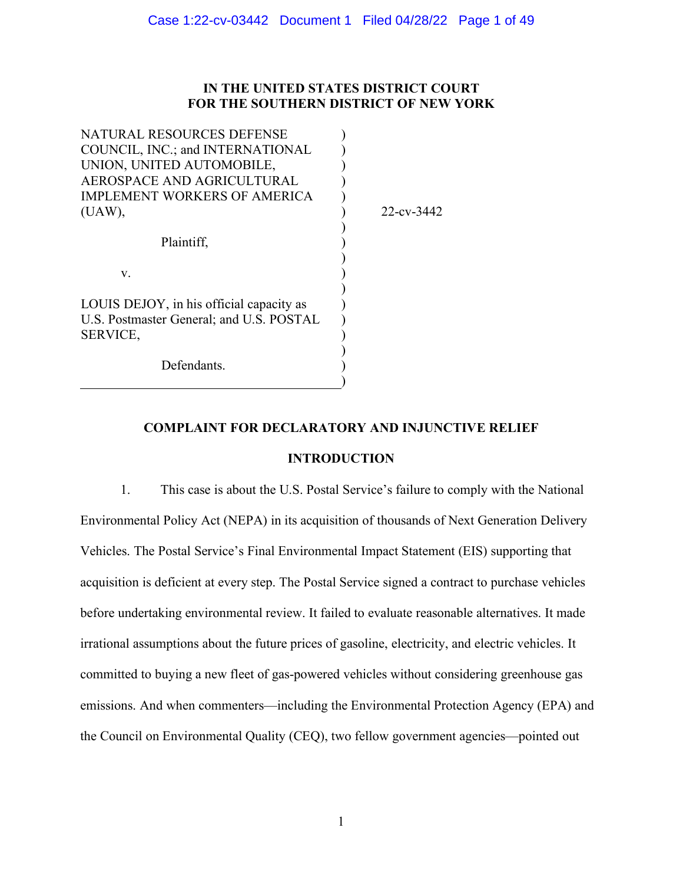# **IN THE UNITED STATES DISTRICT COURT FOR THE SOUTHERN DISTRICT OF NEW YORK**

| NATURAL RESOURCES DEFENSE                |            |
|------------------------------------------|------------|
| COUNCIL, INC.; and INTERNATIONAL         |            |
| UNION, UNITED AUTOMOBILE,                |            |
| AEROSPACE AND AGRICULTURAL               |            |
| <b>IMPLEMENT WORKERS OF AMERICA</b>      |            |
| (UAW),                                   | 22-cv-3442 |
|                                          |            |
| Plaintiff,                               |            |
|                                          |            |
| V.                                       |            |
|                                          |            |
| LOUIS DEJOY, in his official capacity as |            |
| U.S. Postmaster General; and U.S. POSTAL |            |
| SERVICE,                                 |            |
|                                          |            |
| Defendants.                              |            |
|                                          |            |
|                                          |            |

# **COMPLAINT FOR DECLARATORY AND INJUNCTIVE RELIEF**

# **INTRODUCTION**

1. This case is about the U.S. Postal Service's failure to comply with the National Environmental Policy Act (NEPA) in its acquisition of thousands of Next Generation Delivery Vehicles. The Postal Service's Final Environmental Impact Statement (EIS) supporting that acquisition is deficient at every step. The Postal Service signed a contract to purchase vehicles before undertaking environmental review. It failed to evaluate reasonable alternatives. It made irrational assumptions about the future prices of gasoline, electricity, and electric vehicles. It committed to buying a new fleet of gas-powered vehicles without considering greenhouse gas emissions. And when commenters—including the Environmental Protection Agency (EPA) and the Council on Environmental Quality (CEQ), two fellow government agencies—pointed out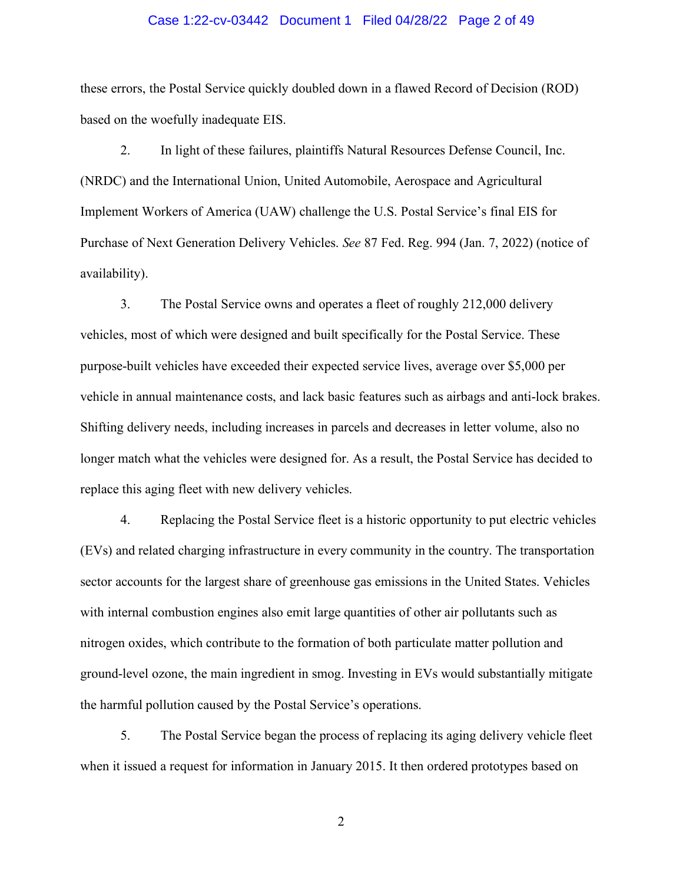### Case 1:22-cv-03442 Document 1 Filed 04/28/22 Page 2 of 49

these errors, the Postal Service quickly doubled down in a flawed Record of Decision (ROD) based on the woefully inadequate EIS.

2. In light of these failures, plaintiffs Natural Resources Defense Council, Inc. (NRDC) and the International Union, United Automobile, Aerospace and Agricultural Implement Workers of America (UAW) challenge the U.S. Postal Service's final EIS for Purchase of Next Generation Delivery Vehicles. *See* 87 Fed. Reg. 994 (Jan. 7, 2022) (notice of availability).

3. The Postal Service owns and operates a fleet of roughly 212,000 delivery vehicles, most of which were designed and built specifically for the Postal Service. These purpose-built vehicles have exceeded their expected service lives, average over \$5,000 per vehicle in annual maintenance costs, and lack basic features such as airbags and anti-lock brakes. Shifting delivery needs, including increases in parcels and decreases in letter volume, also no longer match what the vehicles were designed for. As a result, the Postal Service has decided to replace this aging fleet with new delivery vehicles.

4. Replacing the Postal Service fleet is a historic opportunity to put electric vehicles (EVs) and related charging infrastructure in every community in the country. The transportation sector accounts for the largest share of greenhouse gas emissions in the United States. Vehicles with internal combustion engines also emit large quantities of other air pollutants such as nitrogen oxides, which contribute to the formation of both particulate matter pollution and ground-level ozone, the main ingredient in smog. Investing in EVs would substantially mitigate the harmful pollution caused by the Postal Service's operations.

5. The Postal Service began the process of replacing its aging delivery vehicle fleet when it issued a request for information in January 2015. It then ordered prototypes based on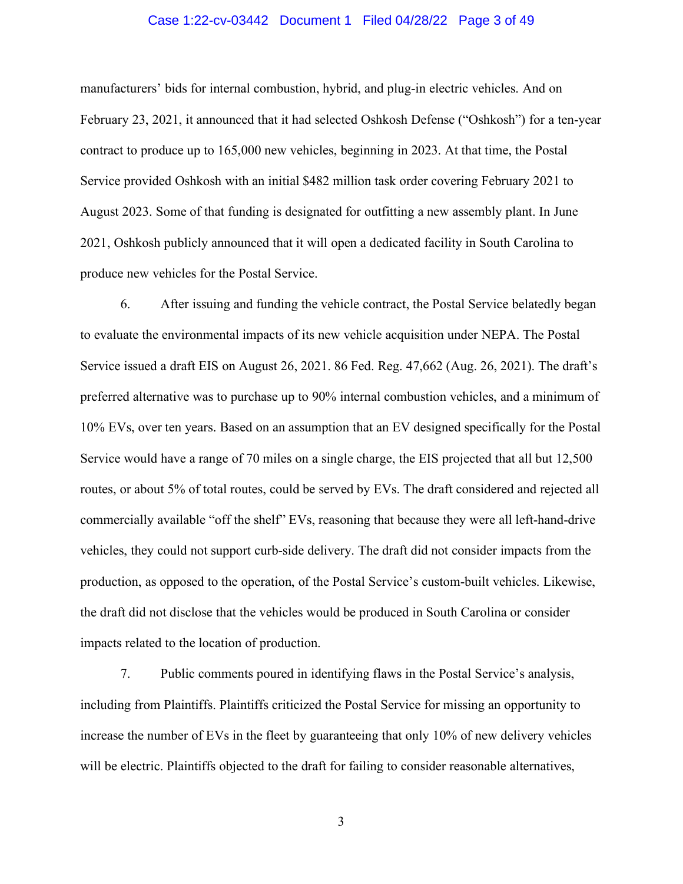# Case 1:22-cv-03442 Document 1 Filed 04/28/22 Page 3 of 49

manufacturers' bids for internal combustion, hybrid, and plug-in electric vehicles. And on February 23, 2021, it announced that it had selected Oshkosh Defense ("Oshkosh") for a ten-year contract to produce up to 165,000 new vehicles, beginning in 2023. At that time, the Postal Service provided Oshkosh with an initial \$482 million task order covering February 2021 to August 2023. Some of that funding is designated for outfitting a new assembly plant. In June 2021, Oshkosh publicly announced that it will open a dedicated facility in South Carolina to produce new vehicles for the Postal Service.

6. After issuing and funding the vehicle contract, the Postal Service belatedly began to evaluate the environmental impacts of its new vehicle acquisition under NEPA. The Postal Service issued a draft EIS on August 26, 2021. 86 Fed. Reg. 47,662 (Aug. 26, 2021). The draft's preferred alternative was to purchase up to 90% internal combustion vehicles, and a minimum of 10% EVs, over ten years. Based on an assumption that an EV designed specifically for the Postal Service would have a range of 70 miles on a single charge, the EIS projected that all but 12,500 routes, or about 5% of total routes, could be served by EVs. The draft considered and rejected all commercially available "off the shelf" EVs, reasoning that because they were all left-hand-drive vehicles, they could not support curb-side delivery. The draft did not consider impacts from the production, as opposed to the operation, of the Postal Service's custom-built vehicles. Likewise, the draft did not disclose that the vehicles would be produced in South Carolina or consider impacts related to the location of production.

7. Public comments poured in identifying flaws in the Postal Service's analysis, including from Plaintiffs. Plaintiffs criticized the Postal Service for missing an opportunity to increase the number of EVs in the fleet by guaranteeing that only 10% of new delivery vehicles will be electric. Plaintiffs objected to the draft for failing to consider reasonable alternatives,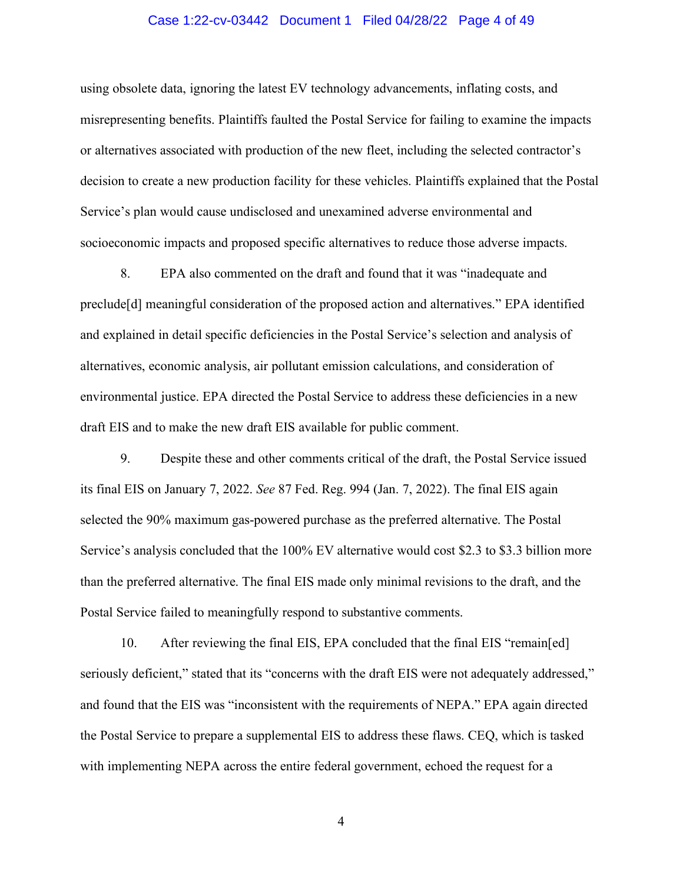# Case 1:22-cv-03442 Document 1 Filed 04/28/22 Page 4 of 49

using obsolete data, ignoring the latest EV technology advancements, inflating costs, and misrepresenting benefits. Plaintiffs faulted the Postal Service for failing to examine the impacts or alternatives associated with production of the new fleet, including the selected contractor's decision to create a new production facility for these vehicles. Plaintiffs explained that the Postal Service's plan would cause undisclosed and unexamined adverse environmental and socioeconomic impacts and proposed specific alternatives to reduce those adverse impacts.

8. EPA also commented on the draft and found that it was "inadequate and preclude[d] meaningful consideration of the proposed action and alternatives." EPA identified and explained in detail specific deficiencies in the Postal Service's selection and analysis of alternatives, economic analysis, air pollutant emission calculations, and consideration of environmental justice. EPA directed the Postal Service to address these deficiencies in a new draft EIS and to make the new draft EIS available for public comment.

9. Despite these and other comments critical of the draft, the Postal Service issued its final EIS on January 7, 2022. *See* 87 Fed. Reg. 994 (Jan. 7, 2022). The final EIS again selected the 90% maximum gas-powered purchase as the preferred alternative. The Postal Service's analysis concluded that the 100% EV alternative would cost \$2.3 to \$3.3 billion more than the preferred alternative. The final EIS made only minimal revisions to the draft, and the Postal Service failed to meaningfully respond to substantive comments.

10. After reviewing the final EIS, EPA concluded that the final EIS "remain[ed] seriously deficient," stated that its "concerns with the draft EIS were not adequately addressed," and found that the EIS was "inconsistent with the requirements of NEPA." EPA again directed the Postal Service to prepare a supplemental EIS to address these flaws. CEQ, which is tasked with implementing NEPA across the entire federal government, echoed the request for a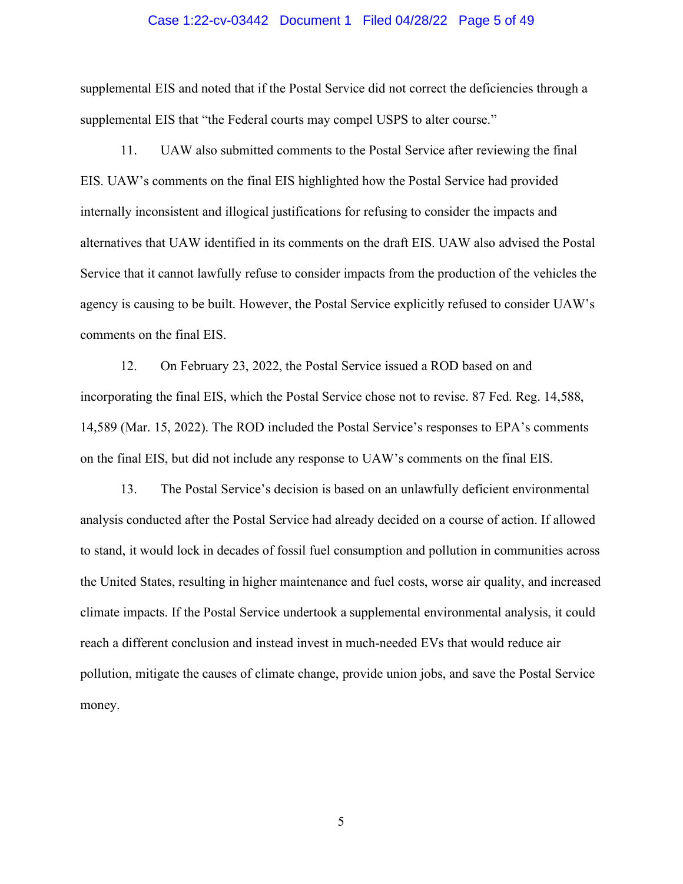### Case 1:22-cv-03442 Document 1 Filed 04/28/22 Page 5 of 49

supplemental EIS and noted that if the Postal Service did not correct the deficiencies through a supplemental EIS that "the Federal courts may compel USPS to alter course."

11. UAW also submitted comments to the Postal Service after reviewing the final EIS. UAW's comments on the final EIS highlighted how the Postal Service had provided internally inconsistent and illogical justifications for refusing to consider the impacts and alternatives that UAW identified in its comments on the draft EIS. UAW also advised the Postal Service that it cannot lawfully refuse to consider impacts from the production of the vehicles the agency is causing to be built. However, the Postal Service explicitly refused to consider UAW's comments on the final EIS.

12. On February 23, 2022, the Postal Service issued a ROD based on and incorporating the final EIS, which the Postal Service chose not to revise. 87 Fed. Reg. 14,588, 14,589 (Mar. 15, 2022). The ROD included the Postal Service's responses to EPA's comments on the final EIS, but did not include any response to UAW's comments on the final EIS.

13. The Postal Service's decision is based on an unlawfully deficient environmental analysis conducted after the Postal Service had already decided on a course of action. If allowed to stand, it would lock in decades of fossil fuel consumption and pollution in communities across the United States, resulting in higher maintenance and fuel costs, worse air quality, and increased climate impacts. If the Postal Service undertook a supplemental environmental analysis, it could reach a different conclusion and instead invest in much-needed EVs that would reduce air pollution, mitigate the causes of climate change, provide union jobs, and save the Postal Service money.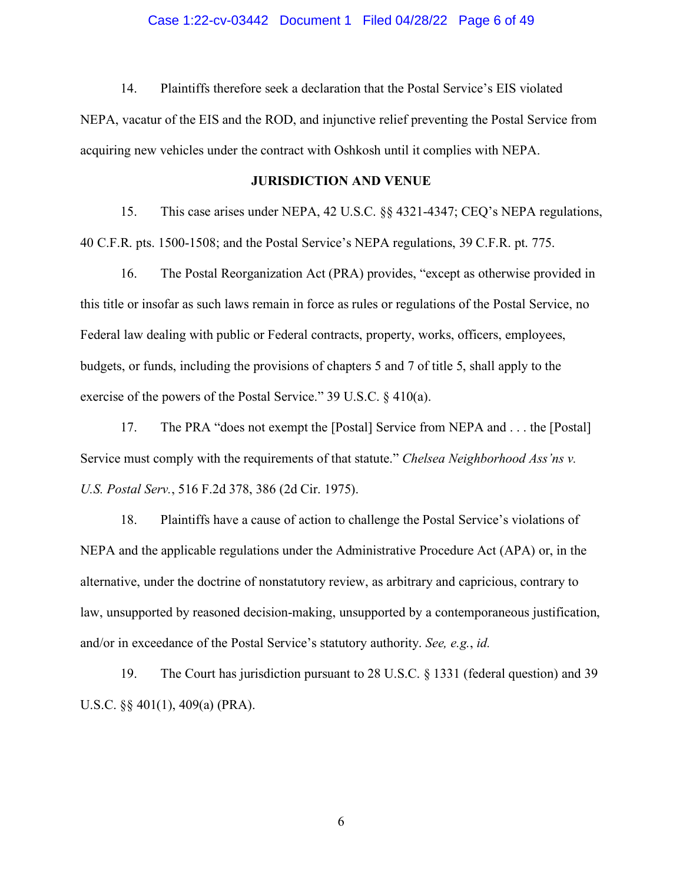14. Plaintiffs therefore seek a declaration that the Postal Service's EIS violated

NEPA, vacatur of the EIS and the ROD, and injunctive relief preventing the Postal Service from acquiring new vehicles under the contract with Oshkosh until it complies with NEPA.

# **JURISDICTION AND VENUE**

15. This case arises under NEPA, 42 U.S.C. §§ 4321-4347; CEQ's NEPA regulations, 40 C.F.R. pts. 1500-1508; and the Postal Service's NEPA regulations, 39 C.F.R. pt. 775.

16. The Postal Reorganization Act (PRA) provides, "except as otherwise provided in this title or insofar as such laws remain in force as rules or regulations of the Postal Service, no Federal law dealing with public or Federal contracts, property, works, officers, employees, budgets, or funds, including the provisions of chapters 5 and 7 of title 5, shall apply to the exercise of the powers of the Postal Service." 39 U.S.C. § 410(a).

17. The PRA "does not exempt the [Postal] Service from NEPA and . . . the [Postal] Service must comply with the requirements of that statute." *Chelsea Neighborhood Ass'ns v. U.S. Postal Serv.*, 516 F.2d 378, 386 (2d Cir. 1975).

18. Plaintiffs have a cause of action to challenge the Postal Service's violations of NEPA and the applicable regulations under the Administrative Procedure Act (APA) or, in the alternative, under the doctrine of nonstatutory review, as arbitrary and capricious, contrary to law, unsupported by reasoned decision-making, unsupported by a contemporaneous justification, and/or in exceedance of the Postal Service's statutory authority. *See, e.g.*, *id.*

19. The Court has jurisdiction pursuant to 28 U.S.C. § 1331 (federal question) and 39 U.S.C. §§ 401(1), 409(a) (PRA).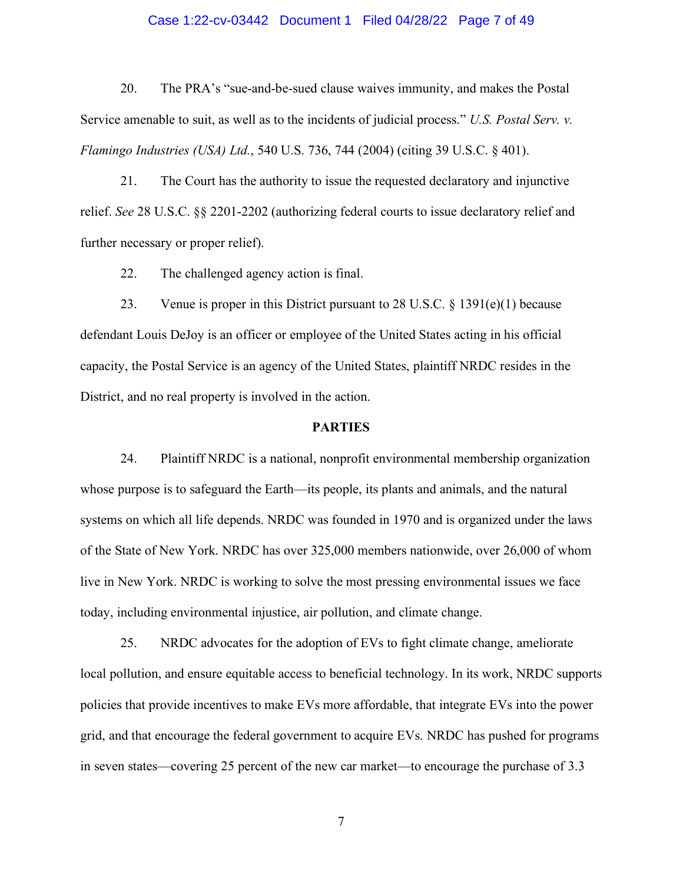# Case 1:22-cv-03442 Document 1 Filed 04/28/22 Page 7 of 49

20. The PRA's "sue-and-be-sued clause waives immunity, and makes the Postal Service amenable to suit, as well as to the incidents of judicial process." *U.S. Postal Serv. v. Flamingo Industries (USA) Ltd.*, 540 U.S. 736, 744 (2004) (citing 39 U.S.C. § 401).

21. The Court has the authority to issue the requested declaratory and injunctive relief. *See* 28 U.S.C. §§ 2201-2202 (authorizing federal courts to issue declaratory relief and further necessary or proper relief).

22. The challenged agency action is final.

23. Venue is proper in this District pursuant to 28 U.S.C.  $\S$  1391(e)(1) because defendant Louis DeJoy is an officer or employee of the United States acting in his official capacity, the Postal Service is an agency of the United States, plaintiff NRDC resides in the District, and no real property is involved in the action.

# **PARTIES**

24. Plaintiff NRDC is a national, nonprofit environmental membership organization whose purpose is to safeguard the Earth—its people, its plants and animals, and the natural systems on which all life depends. NRDC was founded in 1970 and is organized under the laws of the State of New York. NRDC has over 325,000 members nationwide, over 26,000 of whom live in New York. NRDC is working to solve the most pressing environmental issues we face today, including environmental injustice, air pollution, and climate change.

25. NRDC advocates for the adoption of EVs to fight climate change, ameliorate local pollution, and ensure equitable access to beneficial technology. In its work, NRDC supports policies that provide incentives to make EVs more affordable, that integrate EVs into the power grid, and that encourage the federal government to acquire EVs. NRDC has pushed for programs in seven states—covering 25 percent of the new car market—to encourage the purchase of 3.3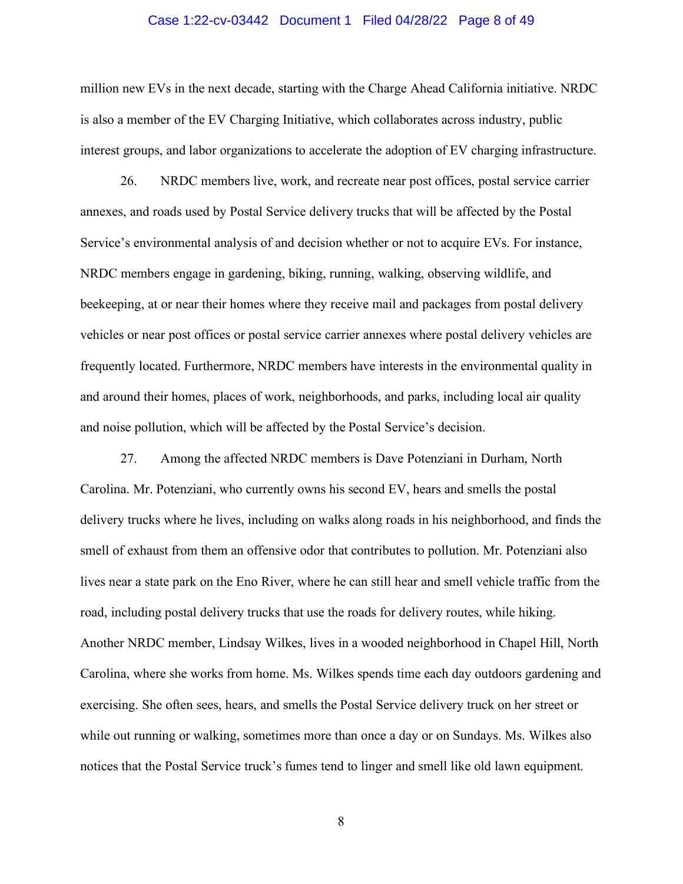### Case 1:22-cv-03442 Document 1 Filed 04/28/22 Page 8 of 49

million new EVs in the next decade, starting with the Charge Ahead California initiative. NRDC is also a member of the EV Charging Initiative, which collaborates across industry, public interest groups, and labor organizations to accelerate the adoption of EV charging infrastructure.

26. NRDC members live, work, and recreate near post offices, postal service carrier annexes, and roads used by Postal Service delivery trucks that will be affected by the Postal Service's environmental analysis of and decision whether or not to acquire EVs. For instance, NRDC members engage in gardening, biking, running, walking, observing wildlife, and beekeeping, at or near their homes where they receive mail and packages from postal delivery vehicles or near post offices or postal service carrier annexes where postal delivery vehicles are frequently located. Furthermore, NRDC members have interests in the environmental quality in and around their homes, places of work, neighborhoods, and parks, including local air quality and noise pollution, which will be affected by the Postal Service's decision.

27. Among the affected NRDC members is Dave Potenziani in Durham, North Carolina. Mr. Potenziani, who currently owns his second EV, hears and smells the postal delivery trucks where he lives, including on walks along roads in his neighborhood, and finds the smell of exhaust from them an offensive odor that contributes to pollution. Mr. Potenziani also lives near a state park on the Eno River, where he can still hear and smell vehicle traffic from the road, including postal delivery trucks that use the roads for delivery routes, while hiking. Another NRDC member, Lindsay Wilkes, lives in a wooded neighborhood in Chapel Hill, North Carolina, where she works from home. Ms. Wilkes spends time each day outdoors gardening and exercising. She often sees, hears, and smells the Postal Service delivery truck on her street or while out running or walking, sometimes more than once a day or on Sundays. Ms. Wilkes also notices that the Postal Service truck's fumes tend to linger and smell like old lawn equipment.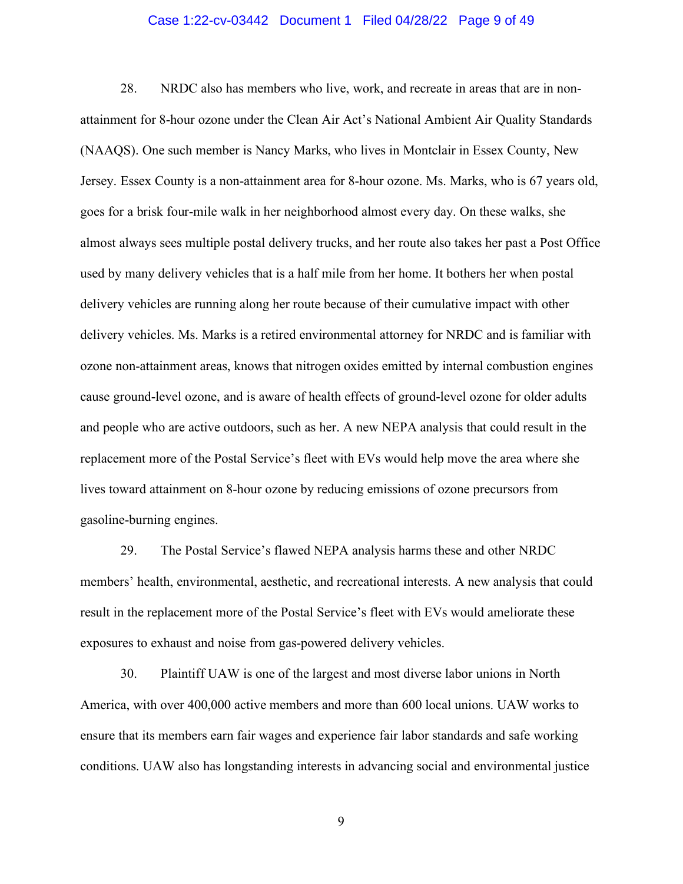# Case 1:22-cv-03442 Document 1 Filed 04/28/22 Page 9 of 49

28. NRDC also has members who live, work, and recreate in areas that are in nonattainment for 8-hour ozone under the Clean Air Act's National Ambient Air Quality Standards (NAAQS). One such member is Nancy Marks, who lives in Montclair in Essex County, New Jersey. Essex County is a non-attainment area for 8-hour ozone. Ms. Marks, who is 67 years old, goes for a brisk four-mile walk in her neighborhood almost every day. On these walks, she almost always sees multiple postal delivery trucks, and her route also takes her past a Post Office used by many delivery vehicles that is a half mile from her home. It bothers her when postal delivery vehicles are running along her route because of their cumulative impact with other delivery vehicles. Ms. Marks is a retired environmental attorney for NRDC and is familiar with ozone non-attainment areas, knows that nitrogen oxides emitted by internal combustion engines cause ground-level ozone, and is aware of health effects of ground-level ozone for older adults and people who are active outdoors, such as her. A new NEPA analysis that could result in the replacement more of the Postal Service's fleet with EVs would help move the area where she lives toward attainment on 8-hour ozone by reducing emissions of ozone precursors from gasoline-burning engines.

29. The Postal Service's flawed NEPA analysis harms these and other NRDC members' health, environmental, aesthetic, and recreational interests. A new analysis that could result in the replacement more of the Postal Service's fleet with EVs would ameliorate these exposures to exhaust and noise from gas-powered delivery vehicles.

30. Plaintiff UAW is one of the largest and most diverse labor unions in North America, with over 400,000 active members and more than 600 local unions. UAW works to ensure that its members earn fair wages and experience fair labor standards and safe working conditions. UAW also has longstanding interests in advancing social and environmental justice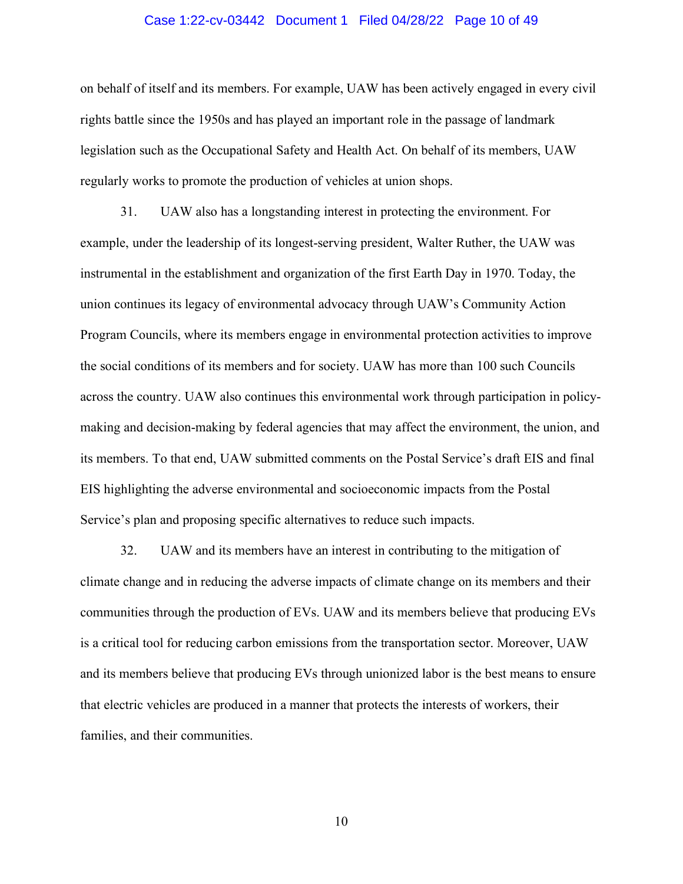# Case 1:22-cv-03442 Document 1 Filed 04/28/22 Page 10 of 49

on behalf of itself and its members. For example, UAW has been actively engaged in every civil rights battle since the 1950s and has played an important role in the passage of landmark legislation such as the Occupational Safety and Health Act. On behalf of its members, UAW regularly works to promote the production of vehicles at union shops.

31. UAW also has a longstanding interest in protecting the environment. For example, under the leadership of its longest-serving president, Walter Ruther, the UAW was instrumental in the establishment and organization of the first Earth Day in 1970. Today, the union continues its legacy of environmental advocacy through UAW's Community Action Program Councils, where its members engage in environmental protection activities to improve the social conditions of its members and for society. UAW has more than 100 such Councils across the country. UAW also continues this environmental work through participation in policymaking and decision-making by federal agencies that may affect the environment, the union, and its members. To that end, UAW submitted comments on the Postal Service's draft EIS and final EIS highlighting the adverse environmental and socioeconomic impacts from the Postal Service's plan and proposing specific alternatives to reduce such impacts.

32. UAW and its members have an interest in contributing to the mitigation of climate change and in reducing the adverse impacts of climate change on its members and their communities through the production of EVs. UAW and its members believe that producing EVs is a critical tool for reducing carbon emissions from the transportation sector. Moreover, UAW and its members believe that producing EVs through unionized labor is the best means to ensure that electric vehicles are produced in a manner that protects the interests of workers, their families, and their communities.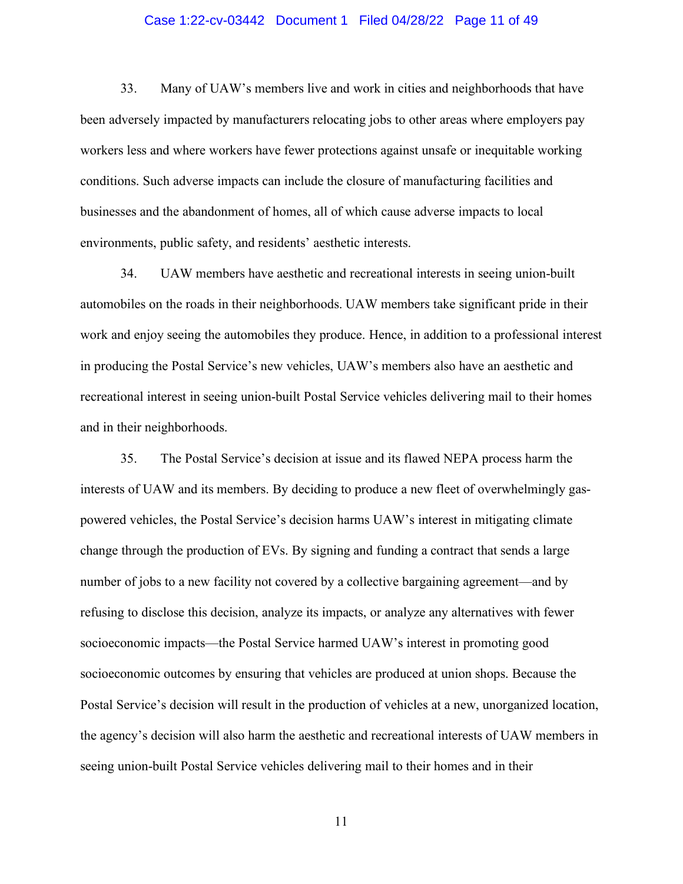# Case 1:22-cv-03442 Document 1 Filed 04/28/22 Page 11 of 49

33. Many of UAW's members live and work in cities and neighborhoods that have been adversely impacted by manufacturers relocating jobs to other areas where employers pay workers less and where workers have fewer protections against unsafe or inequitable working conditions. Such adverse impacts can include the closure of manufacturing facilities and businesses and the abandonment of homes, all of which cause adverse impacts to local environments, public safety, and residents' aesthetic interests.

34. UAW members have aesthetic and recreational interests in seeing union-built automobiles on the roads in their neighborhoods. UAW members take significant pride in their work and enjoy seeing the automobiles they produce. Hence, in addition to a professional interest in producing the Postal Service's new vehicles, UAW's members also have an aesthetic and recreational interest in seeing union-built Postal Service vehicles delivering mail to their homes and in their neighborhoods.

35. The Postal Service's decision at issue and its flawed NEPA process harm the interests of UAW and its members. By deciding to produce a new fleet of overwhelmingly gaspowered vehicles, the Postal Service's decision harms UAW's interest in mitigating climate change through the production of EVs. By signing and funding a contract that sends a large number of jobs to a new facility not covered by a collective bargaining agreement—and by refusing to disclose this decision, analyze its impacts, or analyze any alternatives with fewer socioeconomic impacts—the Postal Service harmed UAW's interest in promoting good socioeconomic outcomes by ensuring that vehicles are produced at union shops. Because the Postal Service's decision will result in the production of vehicles at a new, unorganized location, the agency's decision will also harm the aesthetic and recreational interests of UAW members in seeing union-built Postal Service vehicles delivering mail to their homes and in their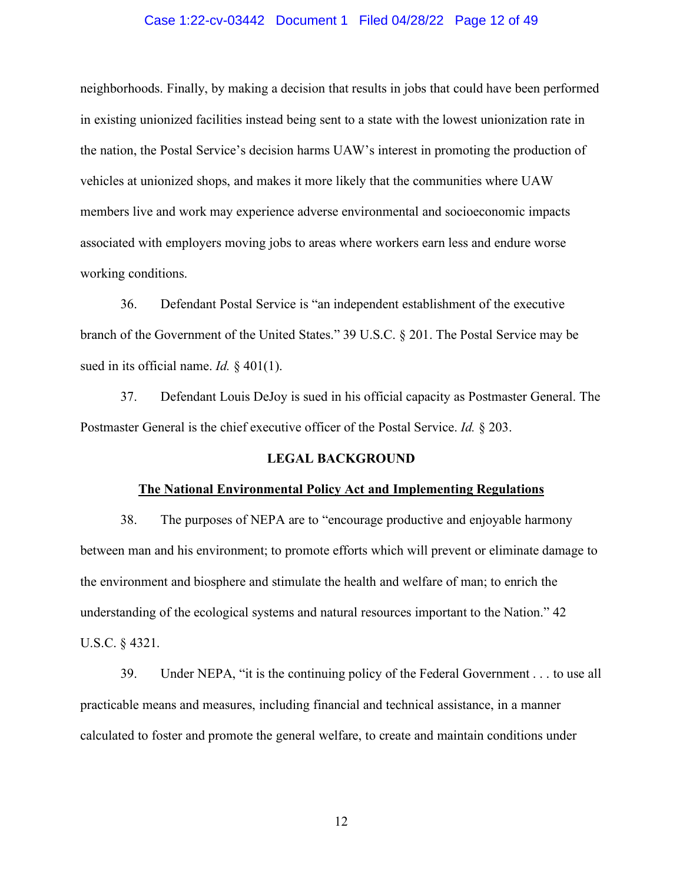# Case 1:22-cv-03442 Document 1 Filed 04/28/22 Page 12 of 49

neighborhoods. Finally, by making a decision that results in jobs that could have been performed in existing unionized facilities instead being sent to a state with the lowest unionization rate in the nation, the Postal Service's decision harms UAW's interest in promoting the production of vehicles at unionized shops, and makes it more likely that the communities where UAW members live and work may experience adverse environmental and socioeconomic impacts associated with employers moving jobs to areas where workers earn less and endure worse working conditions.

36. Defendant Postal Service is "an independent establishment of the executive branch of the Government of the United States." 39 U.S.C. § 201. The Postal Service may be sued in its official name. *Id.* § 401(1).

37. Defendant Louis DeJoy is sued in his official capacity as Postmaster General. The Postmaster General is the chief executive officer of the Postal Service. *Id.* § 203.

# **LEGAL BACKGROUND**

#### **The National Environmental Policy Act and Implementing Regulations**

38. The purposes of NEPA are to "encourage productive and enjoyable harmony between man and his environment; to promote efforts which will prevent or eliminate damage to the environment and biosphere and stimulate the health and welfare of man; to enrich the understanding of the ecological systems and natural resources important to the Nation." 42 U.S.C. § 4321.

39. Under NEPA, "it is the continuing policy of the Federal Government . . . to use all practicable means and measures, including financial and technical assistance, in a manner calculated to foster and promote the general welfare, to create and maintain conditions under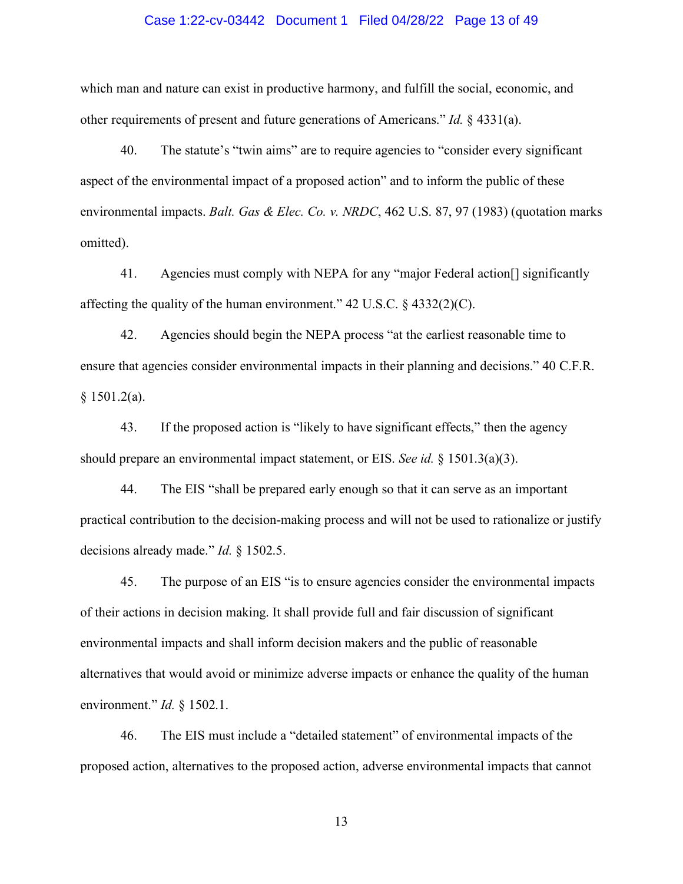### Case 1:22-cv-03442 Document 1 Filed 04/28/22 Page 13 of 49

which man and nature can exist in productive harmony, and fulfill the social, economic, and other requirements of present and future generations of Americans." *Id.* § 4331(a).

40. The statute's "twin aims" are to require agencies to "consider every significant aspect of the environmental impact of a proposed action" and to inform the public of these environmental impacts. *Balt. Gas & Elec. Co. v. NRDC*, 462 U.S. 87, 97 (1983) (quotation marks omitted).

41. Agencies must comply with NEPA for any "major Federal action[] significantly affecting the quality of the human environment."  $42 \text{ U.S.C. }$  \$  $4332(2)(\text{C}).$ 

42. Agencies should begin the NEPA process "at the earliest reasonable time to ensure that agencies consider environmental impacts in their planning and decisions." 40 C.F.R. § 1501.2(a).

43. If the proposed action is "likely to have significant effects," then the agency should prepare an environmental impact statement, or EIS. *See id.* § 1501.3(a)(3).

44. The EIS "shall be prepared early enough so that it can serve as an important practical contribution to the decision-making process and will not be used to rationalize or justify decisions already made." *Id.* § 1502.5.

45. The purpose of an EIS "is to ensure agencies consider the environmental impacts of their actions in decision making. It shall provide full and fair discussion of significant environmental impacts and shall inform decision makers and the public of reasonable alternatives that would avoid or minimize adverse impacts or enhance the quality of the human environment." *Id.* § 1502.1.

46. The EIS must include a "detailed statement" of environmental impacts of the proposed action, alternatives to the proposed action, adverse environmental impacts that cannot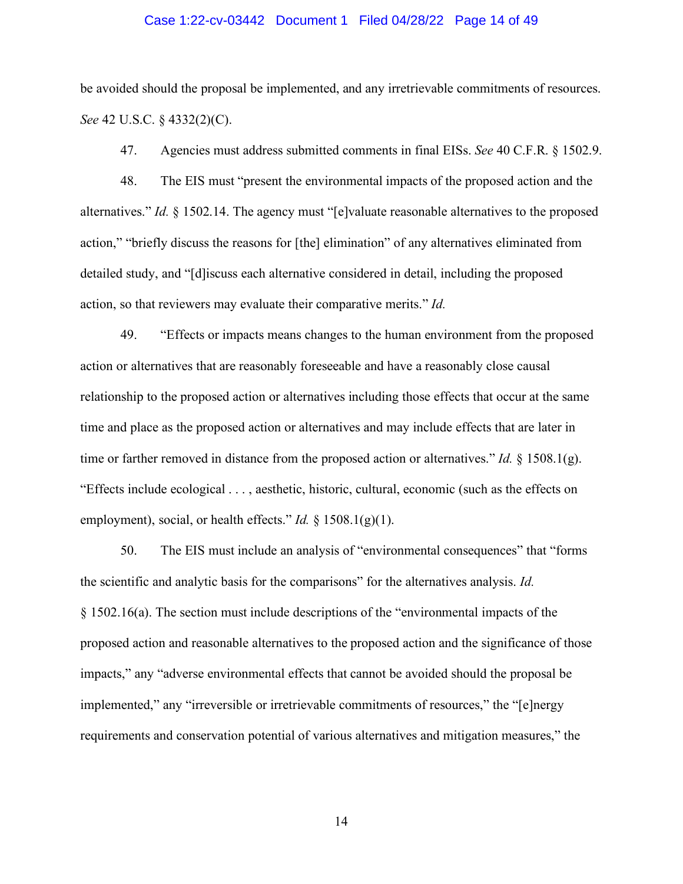# Case 1:22-cv-03442 Document 1 Filed 04/28/22 Page 14 of 49

be avoided should the proposal be implemented, and any irretrievable commitments of resources. *See* 42 U.S.C. § 4332(2)(C).

47. Agencies must address submitted comments in final EISs. *See* 40 C.F.R. § 1502.9.

48. The EIS must "present the environmental impacts of the proposed action and the alternatives." *Id.* § 1502.14. The agency must "[e]valuate reasonable alternatives to the proposed action," "briefly discuss the reasons for [the] elimination" of any alternatives eliminated from detailed study, and "[d]iscuss each alternative considered in detail, including the proposed action, so that reviewers may evaluate their comparative merits." *Id.*

49. "Effects or impacts means changes to the human environment from the proposed action or alternatives that are reasonably foreseeable and have a reasonably close causal relationship to the proposed action or alternatives including those effects that occur at the same time and place as the proposed action or alternatives and may include effects that are later in time or farther removed in distance from the proposed action or alternatives." *Id.* § 1508.1(g). "Effects include ecological . . . , aesthetic, historic, cultural, economic (such as the effects on employment), social, or health effects." *Id.* § 1508.1(g)(1).

50. The EIS must include an analysis of "environmental consequences" that "forms the scientific and analytic basis for the comparisons" for the alternatives analysis. *Id.* § 1502.16(a). The section must include descriptions of the "environmental impacts of the proposed action and reasonable alternatives to the proposed action and the significance of those impacts," any "adverse environmental effects that cannot be avoided should the proposal be implemented," any "irreversible or irretrievable commitments of resources," the "[e]nergy requirements and conservation potential of various alternatives and mitigation measures," the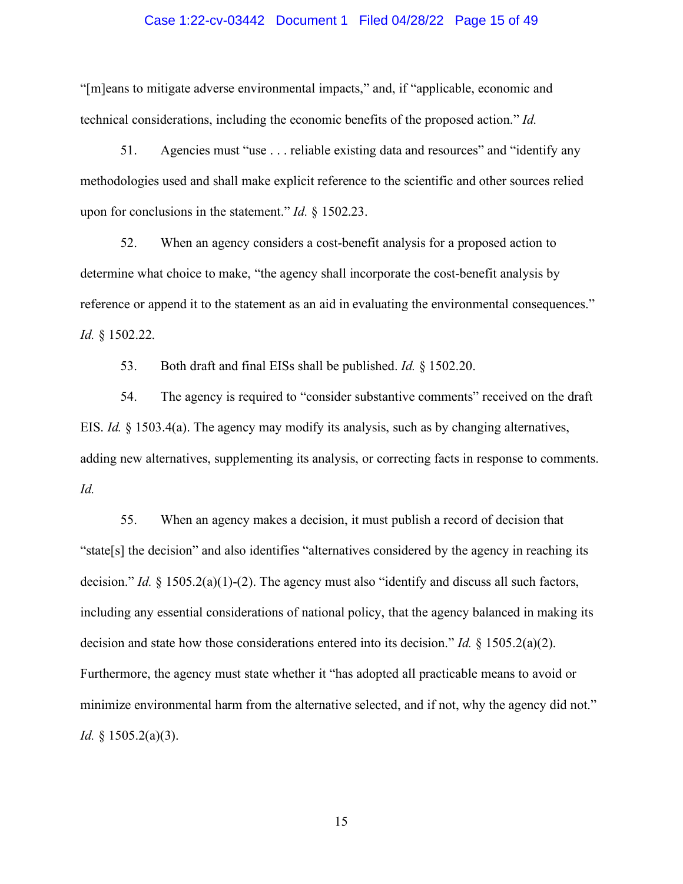# Case 1:22-cv-03442 Document 1 Filed 04/28/22 Page 15 of 49

"[m]eans to mitigate adverse environmental impacts," and, if "applicable, economic and technical considerations, including the economic benefits of the proposed action." *Id.*

51. Agencies must "use . . . reliable existing data and resources" and "identify any methodologies used and shall make explicit reference to the scientific and other sources relied upon for conclusions in the statement." *Id.* § 1502.23.

52. When an agency considers a cost-benefit analysis for a proposed action to determine what choice to make, "the agency shall incorporate the cost-benefit analysis by reference or append it to the statement as an aid in evaluating the environmental consequences." *Id.* § 1502.22.

53. Both draft and final EISs shall be published. *Id.* § 1502.20.

54. The agency is required to "consider substantive comments" received on the draft EIS. *Id.* § 1503.4(a). The agency may modify its analysis, such as by changing alternatives, adding new alternatives, supplementing its analysis, or correcting facts in response to comments. *Id.*

55. When an agency makes a decision, it must publish a record of decision that "state[s] the decision" and also identifies "alternatives considered by the agency in reaching its decision." *Id.* § 1505.2(a)(1)-(2). The agency must also "identify and discuss all such factors, including any essential considerations of national policy, that the agency balanced in making its decision and state how those considerations entered into its decision." *Id.* § 1505.2(a)(2). Furthermore, the agency must state whether it "has adopted all practicable means to avoid or minimize environmental harm from the alternative selected, and if not, why the agency did not." *Id.* § 1505.2(a)(3).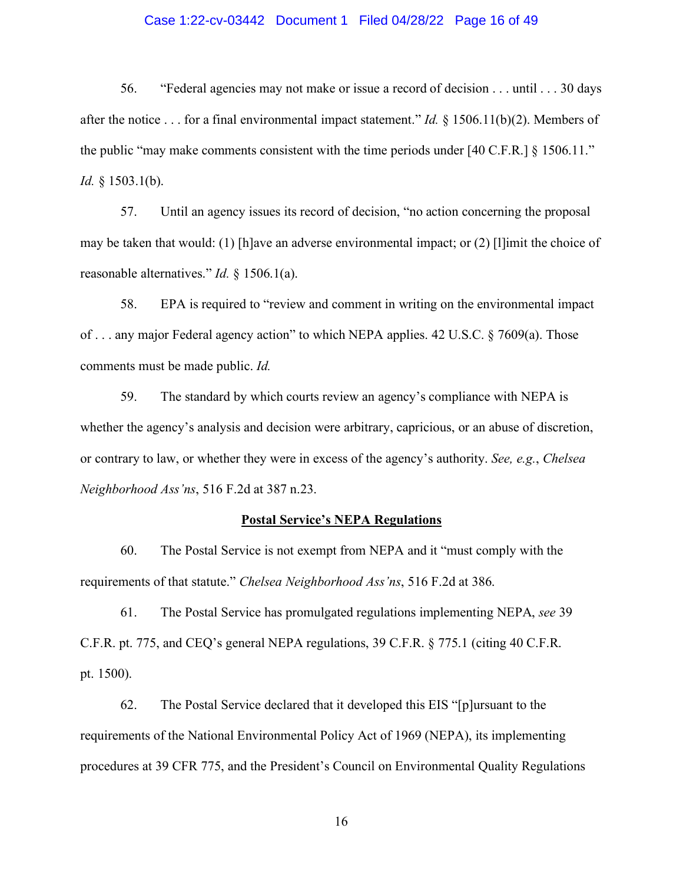# Case 1:22-cv-03442 Document 1 Filed 04/28/22 Page 16 of 49

56. "Federal agencies may not make or issue a record of decision . . . until . . . 30 days after the notice . . . for a final environmental impact statement." *Id.* § 1506.11(b)(2). Members of the public "may make comments consistent with the time periods under [40 C.F.R.] § 1506.11." *Id.* § 1503.1(b).

57. Until an agency issues its record of decision, "no action concerning the proposal may be taken that would: (1) [h]ave an adverse environmental impact; or (2) [l]imit the choice of reasonable alternatives." *Id.* § 1506.1(a).

58. EPA is required to "review and comment in writing on the environmental impact of . . . any major Federal agency action" to which NEPA applies. 42 U.S.C. § 7609(a). Those comments must be made public. *Id.*

59. The standard by which courts review an agency's compliance with NEPA is whether the agency's analysis and decision were arbitrary, capricious, or an abuse of discretion, or contrary to law, or whether they were in excess of the agency's authority. *See, e.g.*, *Chelsea Neighborhood Ass'ns*, 516 F.2d at 387 n.23.

#### **Postal Service's NEPA Regulations**

60. The Postal Service is not exempt from NEPA and it "must comply with the requirements of that statute." *Chelsea Neighborhood Ass'ns*, 516 F.2d at 386.

61. The Postal Service has promulgated regulations implementing NEPA, *see* 39 C.F.R. pt. 775, and CEQ's general NEPA regulations, 39 C.F.R. § 775.1 (citing 40 C.F.R. pt. 1500).

62. The Postal Service declared that it developed this EIS "[p]ursuant to the requirements of the National Environmental Policy Act of 1969 (NEPA), its implementing procedures at 39 CFR 775, and the President's Council on Environmental Quality Regulations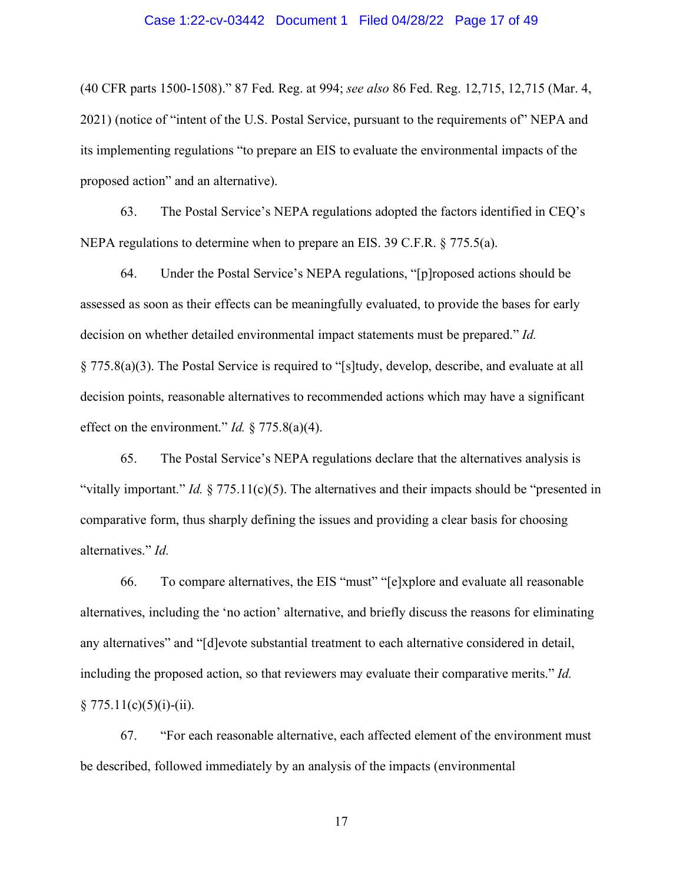# Case 1:22-cv-03442 Document 1 Filed 04/28/22 Page 17 of 49

(40 CFR parts 1500-1508)." 87 Fed. Reg. at 994; *see also* 86 Fed. Reg. 12,715, 12,715 (Mar. 4, 2021) (notice of "intent of the U.S. Postal Service, pursuant to the requirements of" NEPA and its implementing regulations "to prepare an EIS to evaluate the environmental impacts of the proposed action" and an alternative).

63. The Postal Service's NEPA regulations adopted the factors identified in CEQ's NEPA regulations to determine when to prepare an EIS. 39 C.F.R. § 775.5(a).

64. Under the Postal Service's NEPA regulations, "[p]roposed actions should be assessed as soon as their effects can be meaningfully evaluated, to provide the bases for early decision on whether detailed environmental impact statements must be prepared." *Id.* § 775.8(a)(3). The Postal Service is required to "[s]tudy, develop, describe, and evaluate at all decision points, reasonable alternatives to recommended actions which may have a significant effect on the environment." *Id.*  $\frac{275.8(a)(4)}{24}$ .

65. The Postal Service's NEPA regulations declare that the alternatives analysis is "vitally important." *Id.*  $\S 775.11(c)(5)$ . The alternatives and their impacts should be "presented in" comparative form, thus sharply defining the issues and providing a clear basis for choosing alternatives." *Id.*

66. To compare alternatives, the EIS "must" "[e]xplore and evaluate all reasonable alternatives, including the 'no action' alternative, and briefly discuss the reasons for eliminating any alternatives" and "[d]evote substantial treatment to each alternative considered in detail, including the proposed action, so that reviewers may evaluate their comparative merits." *Id.*  $§ 775.11(c)(5)(i)-(ii).$ 

67. "For each reasonable alternative, each affected element of the environment must be described, followed immediately by an analysis of the impacts (environmental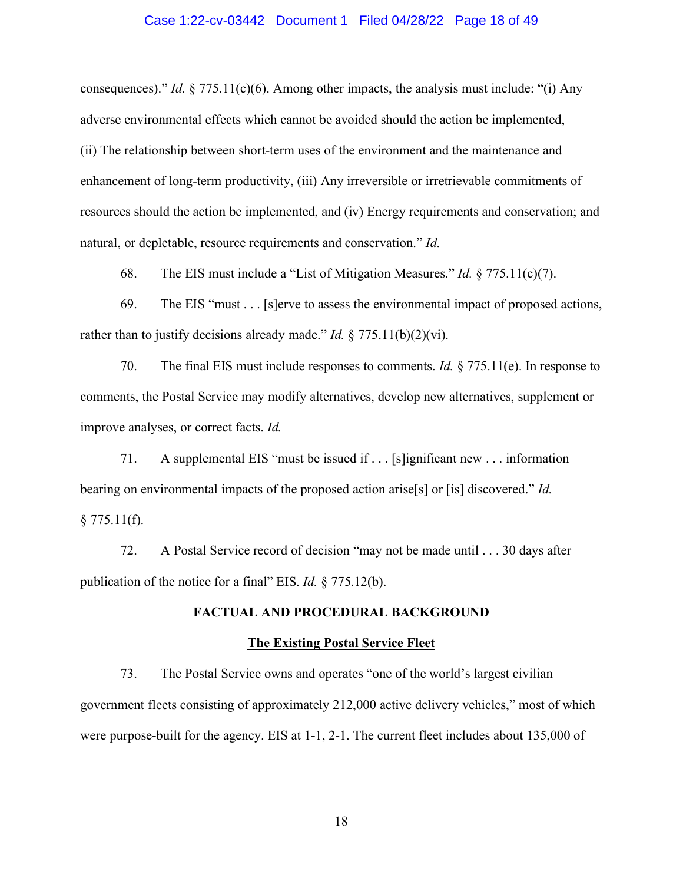## Case 1:22-cv-03442 Document 1 Filed 04/28/22 Page 18 of 49

consequences)." *Id.* § 775.11(c)(6). Among other impacts, the analysis must include: "(i) Any adverse environmental effects which cannot be avoided should the action be implemented, (ii) The relationship between short-term uses of the environment and the maintenance and enhancement of long-term productivity, (iii) Any irreversible or irretrievable commitments of resources should the action be implemented, and (iv) Energy requirements and conservation; and natural, or depletable, resource requirements and conservation." *Id.*

68. The EIS must include a "List of Mitigation Measures." *Id.* § 775.11(c)(7).

69. The EIS "must . . . [s]erve to assess the environmental impact of proposed actions, rather than to justify decisions already made." *Id.* § 775.11(b)(2)(vi).

70. The final EIS must include responses to comments. *Id.* § 775.11(e). In response to comments, the Postal Service may modify alternatives, develop new alternatives, supplement or improve analyses, or correct facts. *Id.*

71. A supplemental EIS "must be issued if . . . [s]ignificant new . . . information bearing on environmental impacts of the proposed action arise[s] or [is] discovered." *Id.*  $§ 775.11(f).$ 

72. A Postal Service record of decision "may not be made until . . . 30 days after publication of the notice for a final" EIS. *Id.* § 775.12(b).

# **FACTUAL AND PROCEDURAL BACKGROUND**

#### **The Existing Postal Service Fleet**

73. The Postal Service owns and operates "one of the world's largest civilian government fleets consisting of approximately 212,000 active delivery vehicles," most of which were purpose-built for the agency. EIS at 1-1, 2-1. The current fleet includes about 135,000 of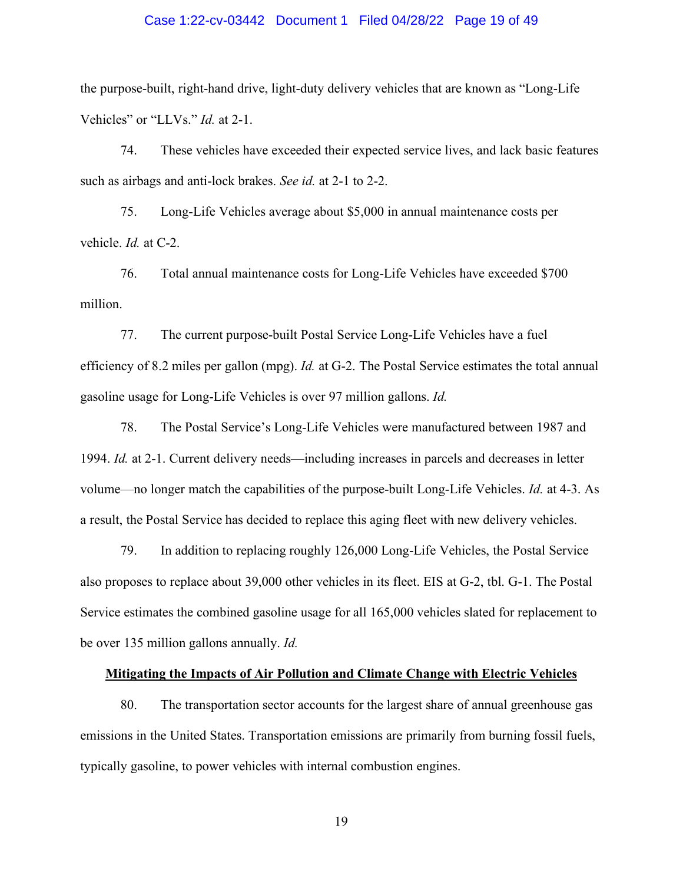# Case 1:22-cv-03442 Document 1 Filed 04/28/22 Page 19 of 49

the purpose-built, right-hand drive, light-duty delivery vehicles that are known as "Long-Life Vehicles" or "LLVs." *Id.* at 2-1.

74. These vehicles have exceeded their expected service lives, and lack basic features such as airbags and anti-lock brakes. *See id.* at 2-1 to 2-2.

75. Long-Life Vehicles average about \$5,000 in annual maintenance costs per vehicle. *Id.* at C-2.

76. Total annual maintenance costs for Long-Life Vehicles have exceeded \$700 million.

77. The current purpose-built Postal Service Long-Life Vehicles have a fuel efficiency of 8.2 miles per gallon (mpg). *Id.* at G-2. The Postal Service estimates the total annual gasoline usage for Long-Life Vehicles is over 97 million gallons. *Id.*

78. The Postal Service's Long-Life Vehicles were manufactured between 1987 and 1994. *Id.* at 2-1. Current delivery needs—including increases in parcels and decreases in letter volume—no longer match the capabilities of the purpose-built Long-Life Vehicles. *Id.* at 4-3. As a result, the Postal Service has decided to replace this aging fleet with new delivery vehicles.

79. In addition to replacing roughly 126,000 Long-Life Vehicles, the Postal Service also proposes to replace about 39,000 other vehicles in its fleet. EIS at G-2, tbl. G-1. The Postal Service estimates the combined gasoline usage for all 165,000 vehicles slated for replacement to be over 135 million gallons annually. *Id.*

# **Mitigating the Impacts of Air Pollution and Climate Change with Electric Vehicles**

80. The transportation sector accounts for the largest share of annual greenhouse gas emissions in the United States. Transportation emissions are primarily from burning fossil fuels, typically gasoline, to power vehicles with internal combustion engines.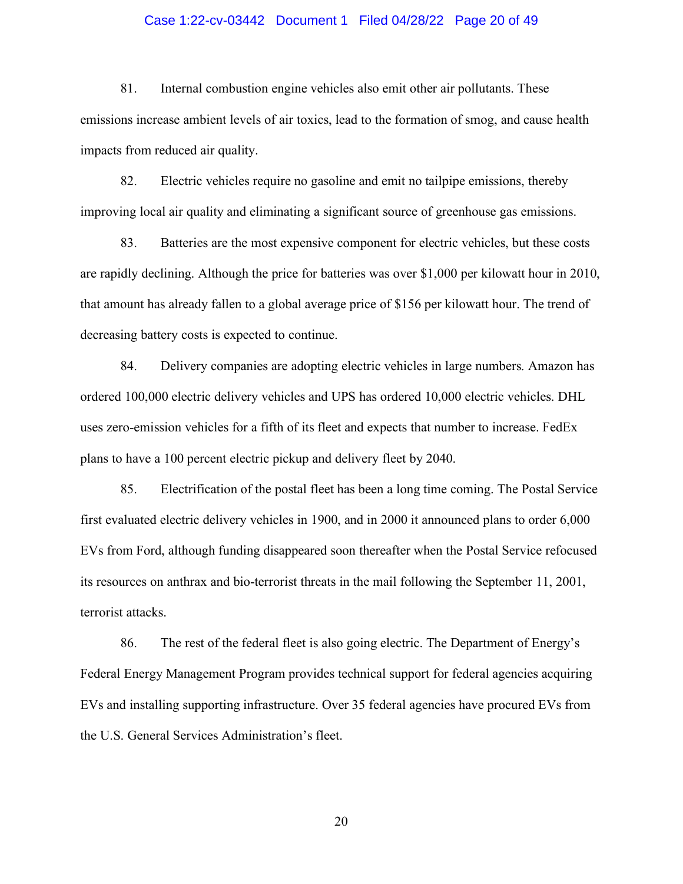# Case 1:22-cv-03442 Document 1 Filed 04/28/22 Page 20 of 49

81. Internal combustion engine vehicles also emit other air pollutants. These emissions increase ambient levels of air toxics, lead to the formation of smog, and cause health impacts from reduced air quality.

82. Electric vehicles require no gasoline and emit no tailpipe emissions, thereby improving local air quality and eliminating a significant source of greenhouse gas emissions.

83. Batteries are the most expensive component for electric vehicles, but these costs are rapidly declining. Although the price for batteries was over \$1,000 per kilowatt hour in 2010, that amount has already fallen to a global average price of \$156 per kilowatt hour. The trend of decreasing battery costs is expected to continue.

84. Delivery companies are adopting electric vehicles in large numbers. Amazon has ordered 100,000 electric delivery vehicles and UPS has ordered 10,000 electric vehicles. DHL uses zero-emission vehicles for a fifth of its fleet and expects that number to increase. FedEx plans to have a 100 percent electric pickup and delivery fleet by 2040.

85. Electrification of the postal fleet has been a long time coming. The Postal Service first evaluated electric delivery vehicles in 1900, and in 2000 it announced plans to order 6,000 EVs from Ford, although funding disappeared soon thereafter when the Postal Service refocused its resources on anthrax and bio-terrorist threats in the mail following the September 11, 2001, terrorist attacks.

86. The rest of the federal fleet is also going electric. The Department of Energy's Federal Energy Management Program provides technical support for federal agencies acquiring EVs and installing supporting infrastructure. Over 35 federal agencies have procured EVs from the U.S. General Services Administration's fleet.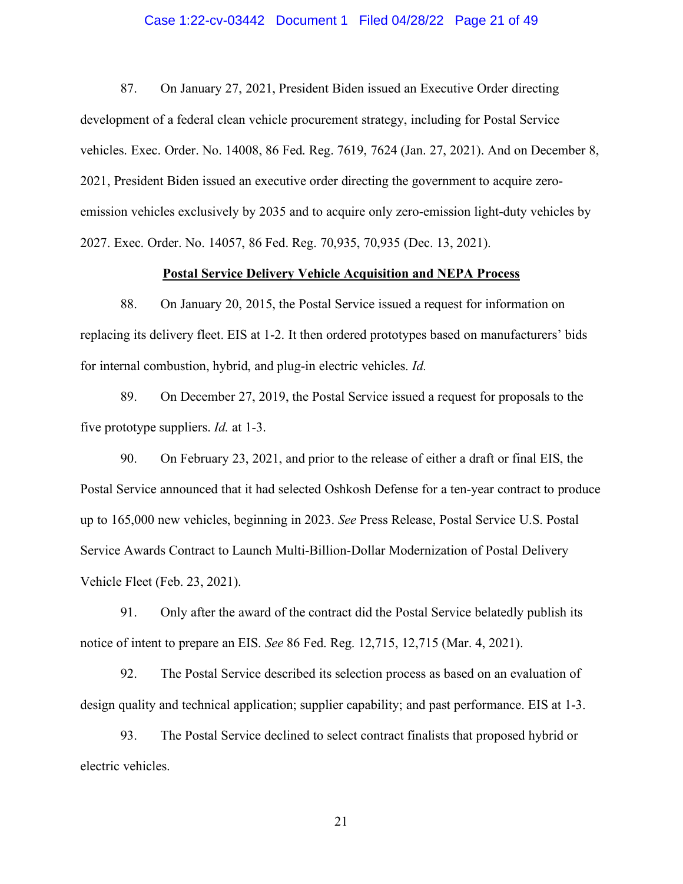# Case 1:22-cv-03442 Document 1 Filed 04/28/22 Page 21 of 49

87. On January 27, 2021, President Biden issued an Executive Order directing development of a federal clean vehicle procurement strategy, including for Postal Service vehicles. Exec. Order. No. 14008, 86 Fed. Reg. 7619, 7624 (Jan. 27, 2021). And on December 8, 2021, President Biden issued an executive order directing the government to acquire zeroemission vehicles exclusively by 2035 and to acquire only zero-emission light-duty vehicles by 2027. Exec. Order. No. 14057, 86 Fed. Reg. 70,935, 70,935 (Dec. 13, 2021).

# **Postal Service Delivery Vehicle Acquisition and NEPA Process**

88. On January 20, 2015, the Postal Service issued a request for information on replacing its delivery fleet. EIS at 1-2. It then ordered prototypes based on manufacturers' bids for internal combustion, hybrid, and plug-in electric vehicles. *Id.*

89. On December 27, 2019, the Postal Service issued a request for proposals to the five prototype suppliers. *Id.* at 1-3.

90. On February 23, 2021, and prior to the release of either a draft or final EIS, the Postal Service announced that it had selected Oshkosh Defense for a ten-year contract to produce up to 165,000 new vehicles, beginning in 2023. *See* Press Release, Postal Service U.S. Postal Service Awards Contract to Launch Multi-Billion-Dollar Modernization of Postal Delivery Vehicle Fleet (Feb. 23, 2021).

91. Only after the award of the contract did the Postal Service belatedly publish its notice of intent to prepare an EIS. *See* 86 Fed. Reg. 12,715, 12,715 (Mar. 4, 2021).

92. The Postal Service described its selection process as based on an evaluation of design quality and technical application; supplier capability; and past performance. EIS at 1-3.

93. The Postal Service declined to select contract finalists that proposed hybrid or electric vehicles.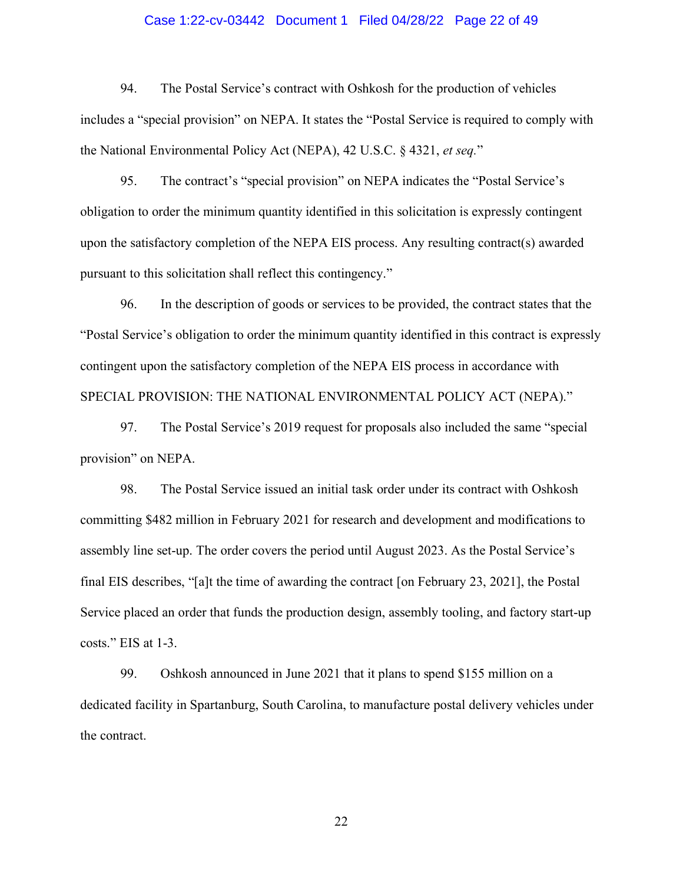# Case 1:22-cv-03442 Document 1 Filed 04/28/22 Page 22 of 49

94. The Postal Service's contract with Oshkosh for the production of vehicles includes a "special provision" on NEPA. It states the "Postal Service is required to comply with the National Environmental Policy Act (NEPA), 42 U.S.C. § 4321, *et seq.*"

95. The contract's "special provision" on NEPA indicates the "Postal Service's obligation to order the minimum quantity identified in this solicitation is expressly contingent upon the satisfactory completion of the NEPA EIS process. Any resulting contract(s) awarded pursuant to this solicitation shall reflect this contingency."

96. In the description of goods or services to be provided, the contract states that the "Postal Service's obligation to order the minimum quantity identified in this contract is expressly contingent upon the satisfactory completion of the NEPA EIS process in accordance with SPECIAL PROVISION: THE NATIONAL ENVIRONMENTAL POLICY ACT (NEPA)."

97. The Postal Service's 2019 request for proposals also included the same "special provision" on NEPA.

98. The Postal Service issued an initial task order under its contract with Oshkosh committing \$482 million in February 2021 for research and development and modifications to assembly line set-up. The order covers the period until August 2023. As the Postal Service's final EIS describes, "[a]t the time of awarding the contract [on February 23, 2021], the Postal Service placed an order that funds the production design, assembly tooling, and factory start-up costs." EIS at 1-3.

99. Oshkosh announced in June 2021 that it plans to spend \$155 million on a dedicated facility in Spartanburg, South Carolina, to manufacture postal delivery vehicles under the contract.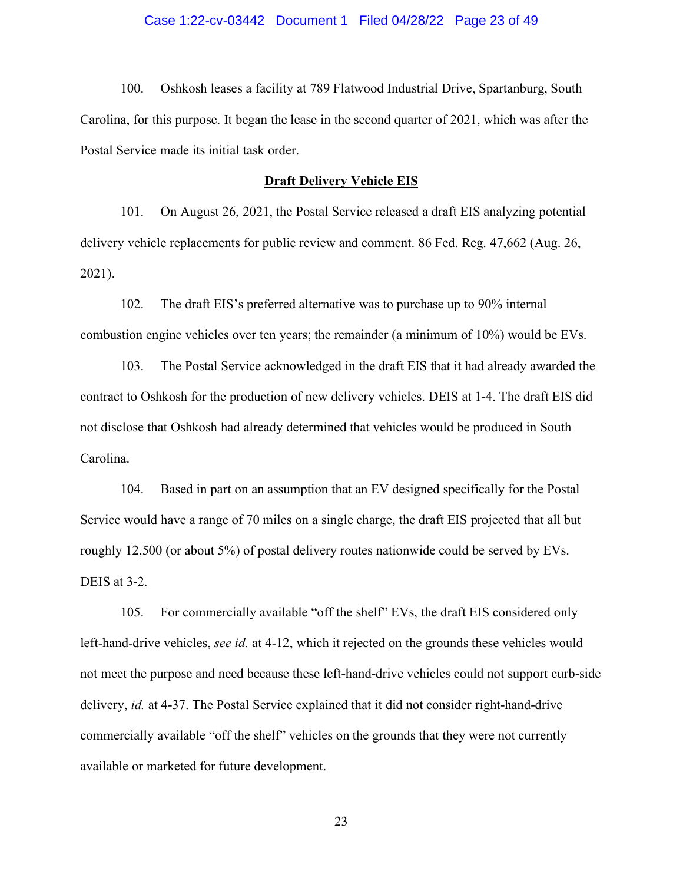# Case 1:22-cv-03442 Document 1 Filed 04/28/22 Page 23 of 49

100. Oshkosh leases a facility at 789 Flatwood Industrial Drive, Spartanburg, South Carolina, for this purpose. It began the lease in the second quarter of 2021, which was after the Postal Service made its initial task order.

#### **Draft Delivery Vehicle EIS**

101. On August 26, 2021, the Postal Service released a draft EIS analyzing potential delivery vehicle replacements for public review and comment. 86 Fed. Reg. 47,662 (Aug. 26, 2021).

102. The draft EIS's preferred alternative was to purchase up to 90% internal combustion engine vehicles over ten years; the remainder (a minimum of 10%) would be EVs.

103. The Postal Service acknowledged in the draft EIS that it had already awarded the contract to Oshkosh for the production of new delivery vehicles. DEIS at 1-4. The draft EIS did not disclose that Oshkosh had already determined that vehicles would be produced in South Carolina.

104. Based in part on an assumption that an EV designed specifically for the Postal Service would have a range of 70 miles on a single charge, the draft EIS projected that all but roughly 12,500 (or about 5%) of postal delivery routes nationwide could be served by EVs. DEIS at 3-2.

105. For commercially available "off the shelf" EVs, the draft EIS considered only left-hand-drive vehicles, *see id.* at 4-12, which it rejected on the grounds these vehicles would not meet the purpose and need because these left-hand-drive vehicles could not support curb-side delivery, *id.* at 4-37. The Postal Service explained that it did not consider right-hand-drive commercially available "off the shelf" vehicles on the grounds that they were not currently available or marketed for future development.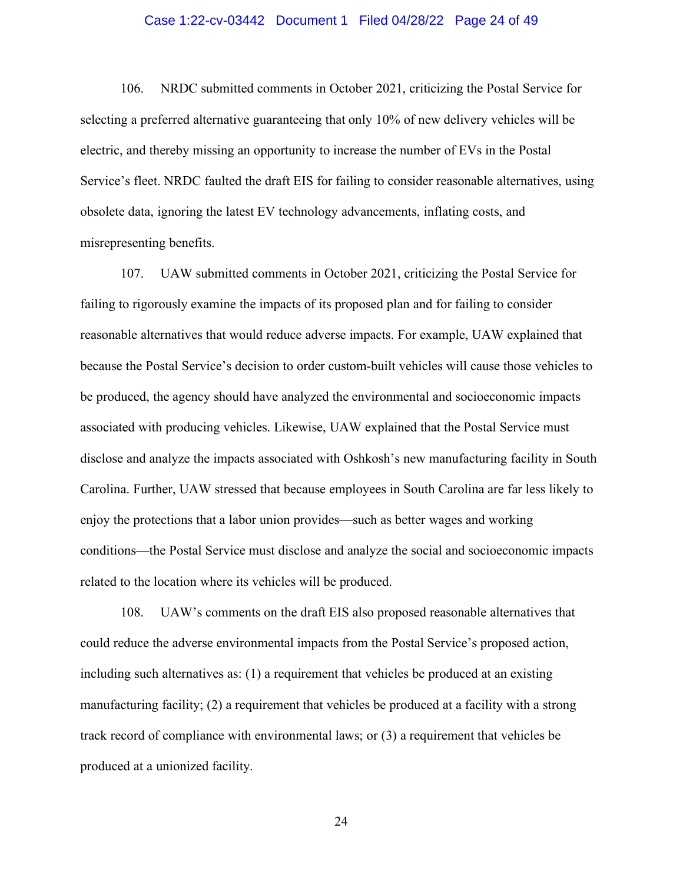# Case 1:22-cv-03442 Document 1 Filed 04/28/22 Page 24 of 49

106. NRDC submitted comments in October 2021, criticizing the Postal Service for selecting a preferred alternative guaranteeing that only 10% of new delivery vehicles will be electric, and thereby missing an opportunity to increase the number of EVs in the Postal Service's fleet. NRDC faulted the draft EIS for failing to consider reasonable alternatives, using obsolete data, ignoring the latest EV technology advancements, inflating costs, and misrepresenting benefits.

107. UAW submitted comments in October 2021, criticizing the Postal Service for failing to rigorously examine the impacts of its proposed plan and for failing to consider reasonable alternatives that would reduce adverse impacts. For example, UAW explained that because the Postal Service's decision to order custom-built vehicles will cause those vehicles to be produced, the agency should have analyzed the environmental and socioeconomic impacts associated with producing vehicles. Likewise, UAW explained that the Postal Service must disclose and analyze the impacts associated with Oshkosh's new manufacturing facility in South Carolina. Further, UAW stressed that because employees in South Carolina are far less likely to enjoy the protections that a labor union provides—such as better wages and working conditions—the Postal Service must disclose and analyze the social and socioeconomic impacts related to the location where its vehicles will be produced.

108. UAW's comments on the draft EIS also proposed reasonable alternatives that could reduce the adverse environmental impacts from the Postal Service's proposed action, including such alternatives as: (1) a requirement that vehicles be produced at an existing manufacturing facility; (2) a requirement that vehicles be produced at a facility with a strong track record of compliance with environmental laws; or (3) a requirement that vehicles be produced at a unionized facility.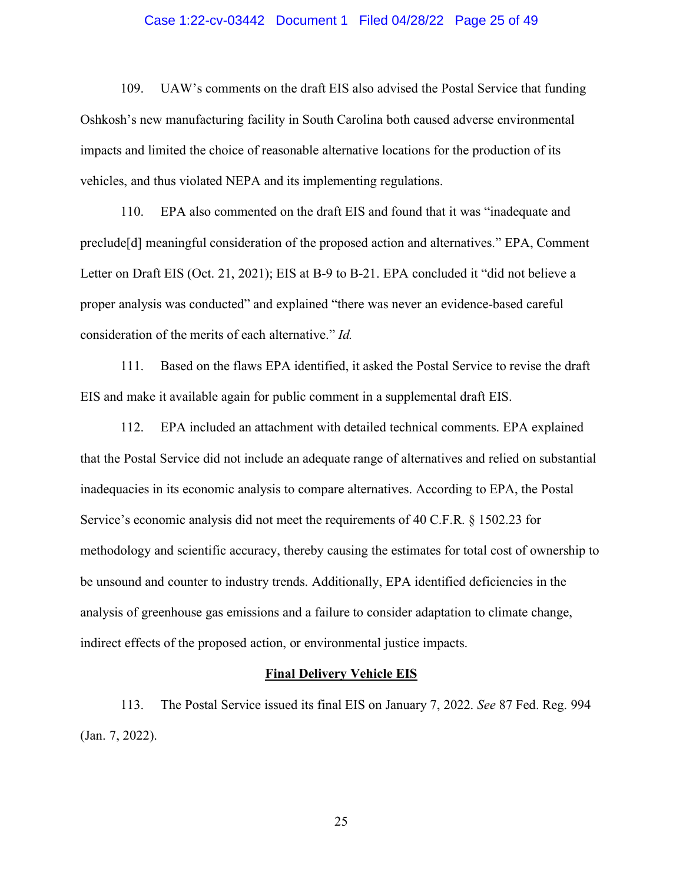# Case 1:22-cv-03442 Document 1 Filed 04/28/22 Page 25 of 49

109. UAW's comments on the draft EIS also advised the Postal Service that funding Oshkosh's new manufacturing facility in South Carolina both caused adverse environmental impacts and limited the choice of reasonable alternative locations for the production of its vehicles, and thus violated NEPA and its implementing regulations.

110. EPA also commented on the draft EIS and found that it was "inadequate and preclude[d] meaningful consideration of the proposed action and alternatives." EPA, Comment Letter on Draft EIS (Oct. 21, 2021); EIS at B-9 to B-21. EPA concluded it "did not believe a proper analysis was conducted" and explained "there was never an evidence-based careful consideration of the merits of each alternative." *Id.*

111. Based on the flaws EPA identified, it asked the Postal Service to revise the draft EIS and make it available again for public comment in a supplemental draft EIS.

112. EPA included an attachment with detailed technical comments. EPA explained that the Postal Service did not include an adequate range of alternatives and relied on substantial inadequacies in its economic analysis to compare alternatives. According to EPA, the Postal Service's economic analysis did not meet the requirements of 40 C.F.R. § 1502.23 for methodology and scientific accuracy, thereby causing the estimates for total cost of ownership to be unsound and counter to industry trends. Additionally, EPA identified deficiencies in the analysis of greenhouse gas emissions and a failure to consider adaptation to climate change, indirect effects of the proposed action, or environmental justice impacts.

#### **Final Delivery Vehicle EIS**

113. The Postal Service issued its final EIS on January 7, 2022. *See* 87 Fed. Reg. 994 (Jan. 7, 2022).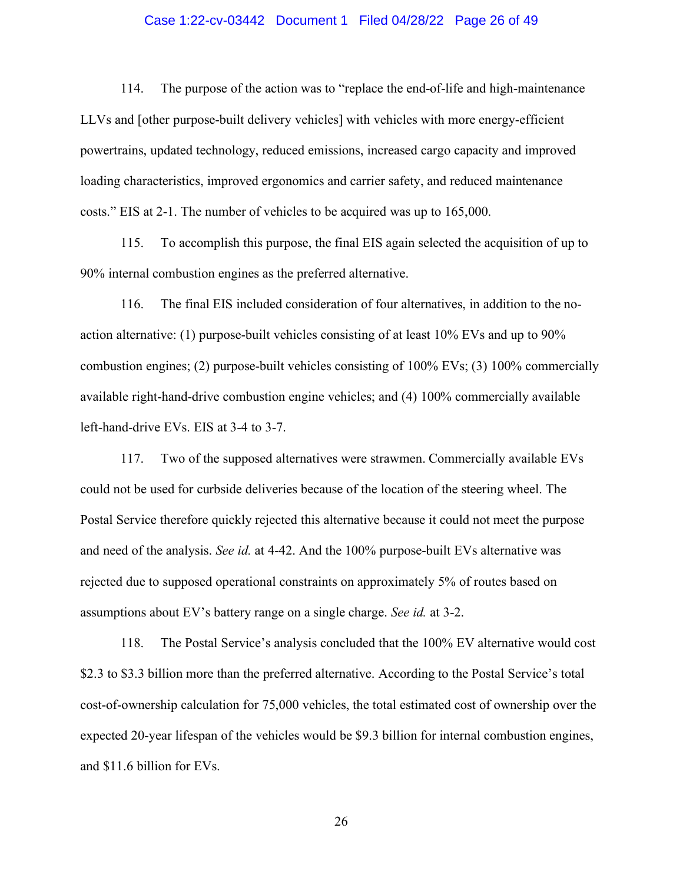# Case 1:22-cv-03442 Document 1 Filed 04/28/22 Page 26 of 49

114. The purpose of the action was to "replace the end-of-life and high-maintenance LLVs and [other purpose-built delivery vehicles] with vehicles with more energy-efficient powertrains, updated technology, reduced emissions, increased cargo capacity and improved loading characteristics, improved ergonomics and carrier safety, and reduced maintenance costs." EIS at 2-1. The number of vehicles to be acquired was up to 165,000.

115. To accomplish this purpose, the final EIS again selected the acquisition of up to 90% internal combustion engines as the preferred alternative.

116. The final EIS included consideration of four alternatives, in addition to the noaction alternative: (1) purpose-built vehicles consisting of at least 10% EVs and up to 90% combustion engines; (2) purpose-built vehicles consisting of 100% EVs; (3) 100% commercially available right-hand-drive combustion engine vehicles; and (4) 100% commercially available left-hand-drive EVs. EIS at 3-4 to 3-7.

117. Two of the supposed alternatives were strawmen. Commercially available EVs could not be used for curbside deliveries because of the location of the steering wheel. The Postal Service therefore quickly rejected this alternative because it could not meet the purpose and need of the analysis. *See id.* at 4-42. And the 100% purpose-built EVs alternative was rejected due to supposed operational constraints on approximately 5% of routes based on assumptions about EV's battery range on a single charge. *See id.* at 3-2.

118. The Postal Service's analysis concluded that the 100% EV alternative would cost \$2.3 to \$3.3 billion more than the preferred alternative. According to the Postal Service's total cost-of-ownership calculation for 75,000 vehicles, the total estimated cost of ownership over the expected 20-year lifespan of the vehicles would be \$9.3 billion for internal combustion engines, and \$11.6 billion for EVs.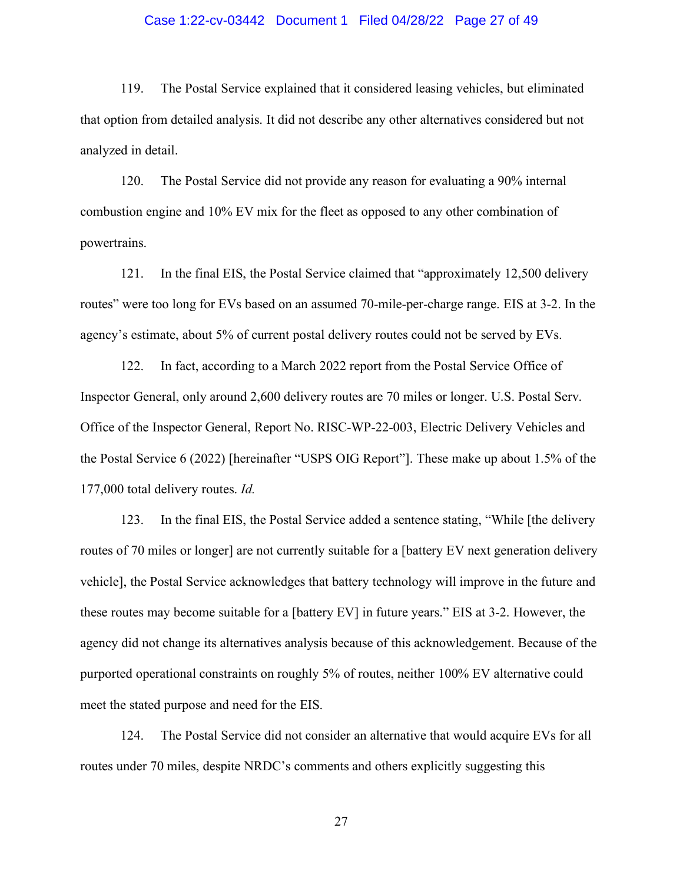# Case 1:22-cv-03442 Document 1 Filed 04/28/22 Page 27 of 49

119. The Postal Service explained that it considered leasing vehicles, but eliminated that option from detailed analysis. It did not describe any other alternatives considered but not analyzed in detail.

120. The Postal Service did not provide any reason for evaluating a 90% internal combustion engine and 10% EV mix for the fleet as opposed to any other combination of powertrains.

121. In the final EIS, the Postal Service claimed that "approximately 12,500 delivery routes" were too long for EVs based on an assumed 70-mile-per-charge range. EIS at 3-2. In the agency's estimate, about 5% of current postal delivery routes could not be served by EVs.

122. In fact, according to a March 2022 report from the Postal Service Office of Inspector General, only around 2,600 delivery routes are 70 miles or longer. U.S. Postal Serv. Office of the Inspector General, Report No. RISC-WP-22-003, Electric Delivery Vehicles and the Postal Service 6 (2022) [hereinafter "USPS OIG Report"]. These make up about 1.5% of the 177,000 total delivery routes. *Id.*

123. In the final EIS, the Postal Service added a sentence stating, "While [the delivery routes of 70 miles or longer] are not currently suitable for a [battery EV next generation delivery vehicle], the Postal Service acknowledges that battery technology will improve in the future and these routes may become suitable for a [battery EV] in future years." EIS at 3-2. However, the agency did not change its alternatives analysis because of this acknowledgement. Because of the purported operational constraints on roughly 5% of routes, neither 100% EV alternative could meet the stated purpose and need for the EIS.

124. The Postal Service did not consider an alternative that would acquire EVs for all routes under 70 miles, despite NRDC's comments and others explicitly suggesting this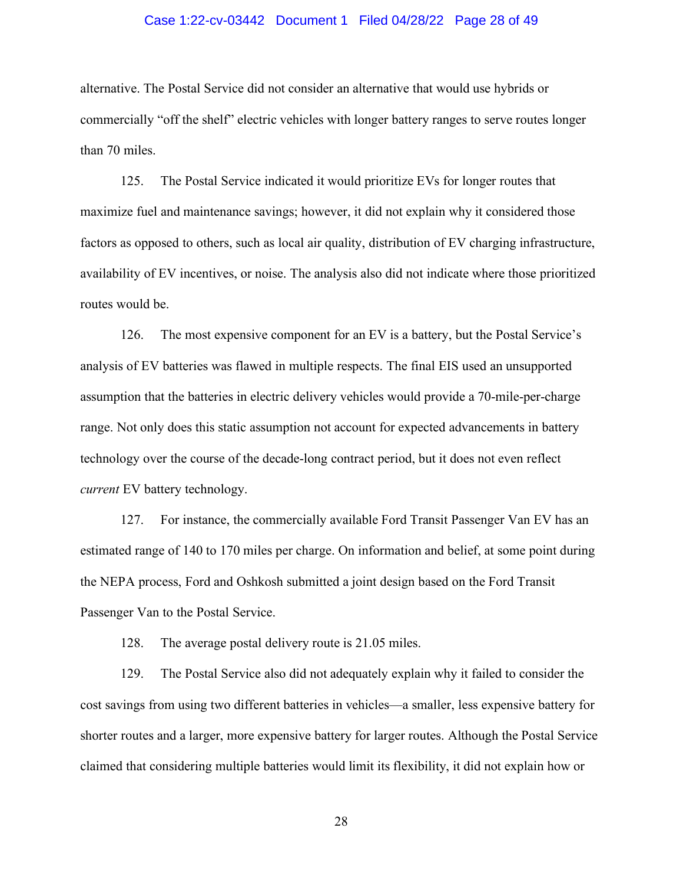# Case 1:22-cv-03442 Document 1 Filed 04/28/22 Page 28 of 49

alternative. The Postal Service did not consider an alternative that would use hybrids or commercially "off the shelf" electric vehicles with longer battery ranges to serve routes longer than 70 miles.

125. The Postal Service indicated it would prioritize EVs for longer routes that maximize fuel and maintenance savings; however, it did not explain why it considered those factors as opposed to others, such as local air quality, distribution of EV charging infrastructure, availability of EV incentives, or noise. The analysis also did not indicate where those prioritized routes would be.

126. The most expensive component for an EV is a battery, but the Postal Service's analysis of EV batteries was flawed in multiple respects. The final EIS used an unsupported assumption that the batteries in electric delivery vehicles would provide a 70-mile-per-charge range. Not only does this static assumption not account for expected advancements in battery technology over the course of the decade-long contract period, but it does not even reflect *current* EV battery technology.

127. For instance, the commercially available Ford Transit Passenger Van EV has an estimated range of 140 to 170 miles per charge. On information and belief, at some point during the NEPA process, Ford and Oshkosh submitted a joint design based on the Ford Transit Passenger Van to the Postal Service.

128. The average postal delivery route is 21.05 miles.

129. The Postal Service also did not adequately explain why it failed to consider the cost savings from using two different batteries in vehicles—a smaller, less expensive battery for shorter routes and a larger, more expensive battery for larger routes. Although the Postal Service claimed that considering multiple batteries would limit its flexibility, it did not explain how or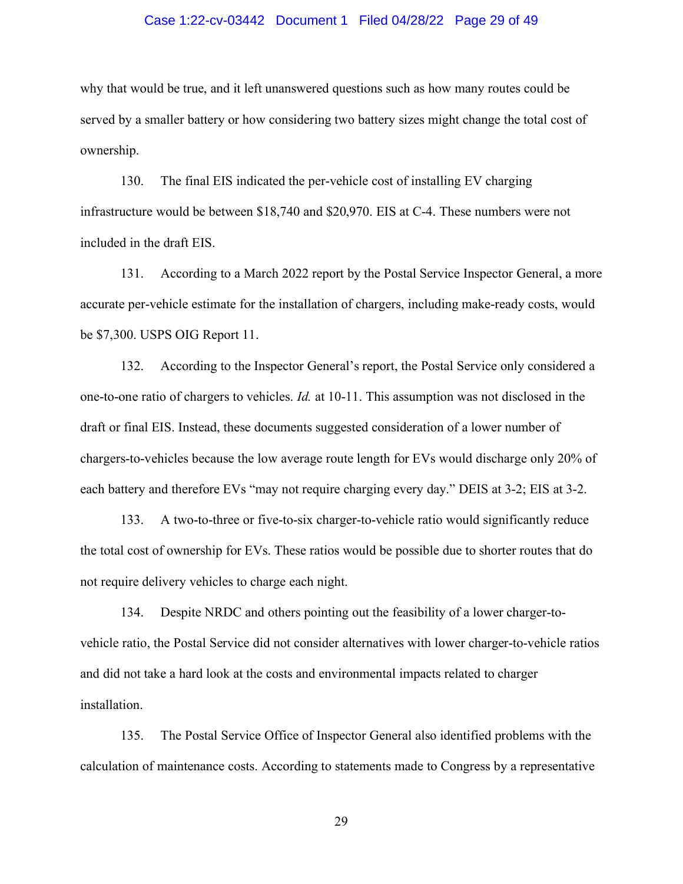## Case 1:22-cv-03442 Document 1 Filed 04/28/22 Page 29 of 49

why that would be true, and it left unanswered questions such as how many routes could be served by a smaller battery or how considering two battery sizes might change the total cost of ownership.

130. The final EIS indicated the per-vehicle cost of installing EV charging infrastructure would be between \$18,740 and \$20,970. EIS at C-4. These numbers were not included in the draft EIS.

131. According to a March 2022 report by the Postal Service Inspector General, a more accurate per-vehicle estimate for the installation of chargers, including make-ready costs, would be \$7,300. USPS OIG Report 11.

132. According to the Inspector General's report, the Postal Service only considered a one-to-one ratio of chargers to vehicles. *Id.* at 10-11. This assumption was not disclosed in the draft or final EIS. Instead, these documents suggested consideration of a lower number of chargers-to-vehicles because the low average route length for EVs would discharge only 20% of each battery and therefore EVs "may not require charging every day." DEIS at 3-2; EIS at 3-2.

133. A two-to-three or five-to-six charger-to-vehicle ratio would significantly reduce the total cost of ownership for EVs. These ratios would be possible due to shorter routes that do not require delivery vehicles to charge each night.

134. Despite NRDC and others pointing out the feasibility of a lower charger-tovehicle ratio, the Postal Service did not consider alternatives with lower charger-to-vehicle ratios and did not take a hard look at the costs and environmental impacts related to charger installation.

135. The Postal Service Office of Inspector General also identified problems with the calculation of maintenance costs. According to statements made to Congress by a representative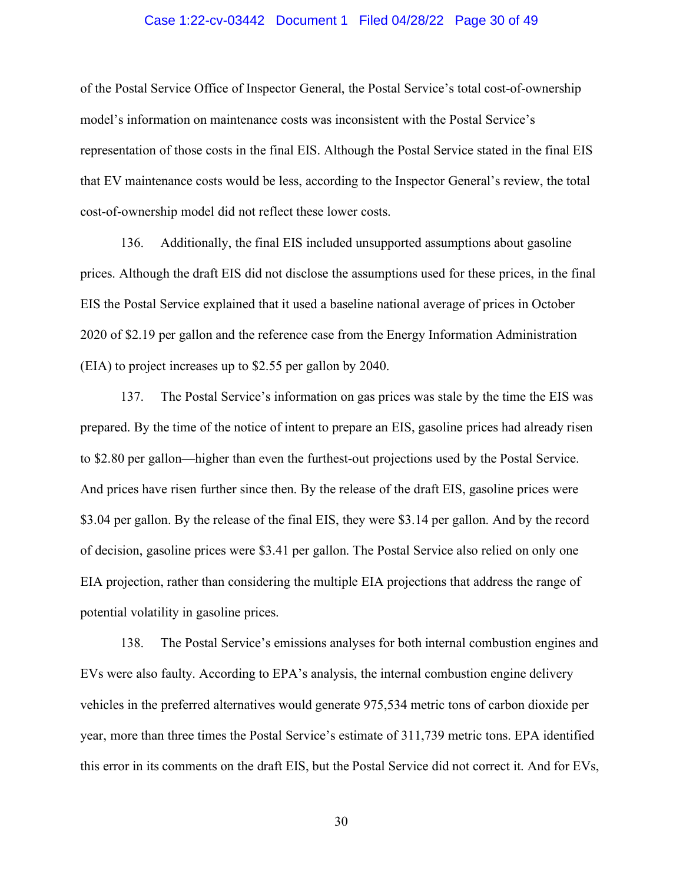# Case 1:22-cv-03442 Document 1 Filed 04/28/22 Page 30 of 49

of the Postal Service Office of Inspector General, the Postal Service's total cost-of-ownership model's information on maintenance costs was inconsistent with the Postal Service's representation of those costs in the final EIS. Although the Postal Service stated in the final EIS that EV maintenance costs would be less, according to the Inspector General's review, the total cost-of-ownership model did not reflect these lower costs.

136. Additionally, the final EIS included unsupported assumptions about gasoline prices. Although the draft EIS did not disclose the assumptions used for these prices, in the final EIS the Postal Service explained that it used a baseline national average of prices in October 2020 of \$2.19 per gallon and the reference case from the Energy Information Administration (EIA) to project increases up to \$2.55 per gallon by 2040.

137. The Postal Service's information on gas prices was stale by the time the EIS was prepared. By the time of the notice of intent to prepare an EIS, gasoline prices had already risen to \$2.80 per gallon—higher than even the furthest-out projections used by the Postal Service. And prices have risen further since then. By the release of the draft EIS, gasoline prices were \$3.04 per gallon. By the release of the final EIS, they were \$3.14 per gallon. And by the record of decision, gasoline prices were \$3.41 per gallon. The Postal Service also relied on only one EIA projection, rather than considering the multiple EIA projections that address the range of potential volatility in gasoline prices.

138. The Postal Service's emissions analyses for both internal combustion engines and EVs were also faulty. According to EPA's analysis, the internal combustion engine delivery vehicles in the preferred alternatives would generate 975,534 metric tons of carbon dioxide per year, more than three times the Postal Service's estimate of 311,739 metric tons. EPA identified this error in its comments on the draft EIS, but the Postal Service did not correct it. And for EVs,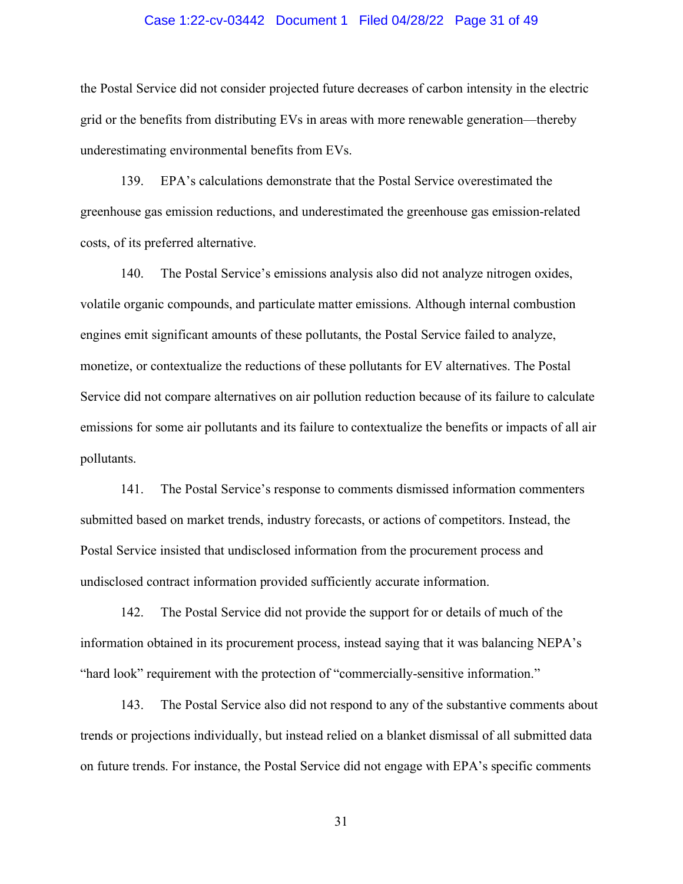# Case 1:22-cv-03442 Document 1 Filed 04/28/22 Page 31 of 49

the Postal Service did not consider projected future decreases of carbon intensity in the electric grid or the benefits from distributing EVs in areas with more renewable generation—thereby underestimating environmental benefits from EVs.

139. EPA's calculations demonstrate that the Postal Service overestimated the greenhouse gas emission reductions, and underestimated the greenhouse gas emission-related costs, of its preferred alternative.

140. The Postal Service's emissions analysis also did not analyze nitrogen oxides, volatile organic compounds, and particulate matter emissions. Although internal combustion engines emit significant amounts of these pollutants, the Postal Service failed to analyze, monetize, or contextualize the reductions of these pollutants for EV alternatives. The Postal Service did not compare alternatives on air pollution reduction because of its failure to calculate emissions for some air pollutants and its failure to contextualize the benefits or impacts of all air pollutants.

141. The Postal Service's response to comments dismissed information commenters submitted based on market trends, industry forecasts, or actions of competitors. Instead, the Postal Service insisted that undisclosed information from the procurement process and undisclosed contract information provided sufficiently accurate information.

142. The Postal Service did not provide the support for or details of much of the information obtained in its procurement process, instead saying that it was balancing NEPA's "hard look" requirement with the protection of "commercially-sensitive information."

143. The Postal Service also did not respond to any of the substantive comments about trends or projections individually, but instead relied on a blanket dismissal of all submitted data on future trends. For instance, the Postal Service did not engage with EPA's specific comments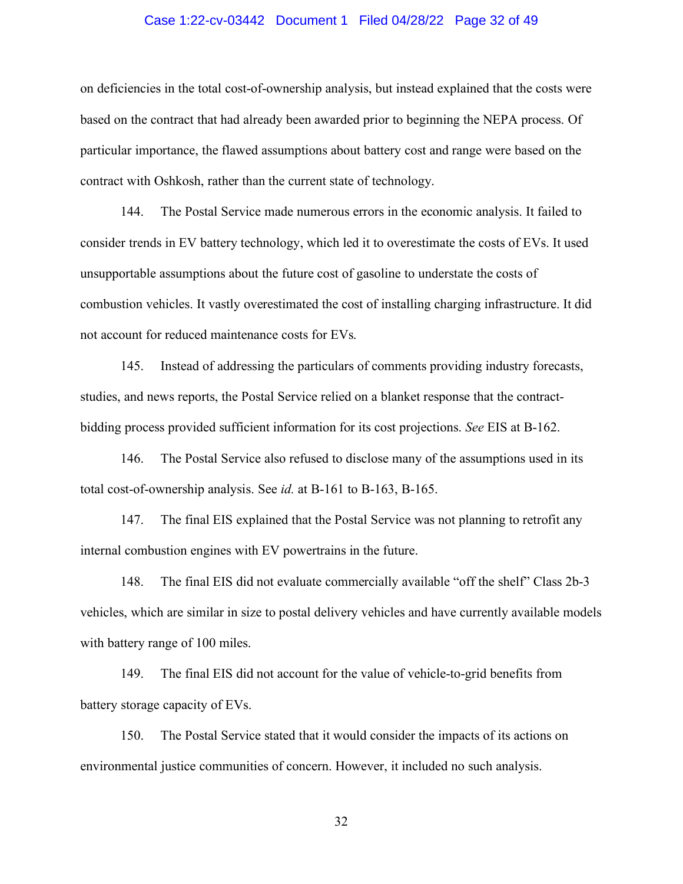# Case 1:22-cv-03442 Document 1 Filed 04/28/22 Page 32 of 49

on deficiencies in the total cost-of-ownership analysis, but instead explained that the costs were based on the contract that had already been awarded prior to beginning the NEPA process. Of particular importance, the flawed assumptions about battery cost and range were based on the contract with Oshkosh, rather than the current state of technology.

144. The Postal Service made numerous errors in the economic analysis. It failed to consider trends in EV battery technology, which led it to overestimate the costs of EVs. It used unsupportable assumptions about the future cost of gasoline to understate the costs of combustion vehicles. It vastly overestimated the cost of installing charging infrastructure. It did not account for reduced maintenance costs for EVs.

145. Instead of addressing the particulars of comments providing industry forecasts, studies, and news reports, the Postal Service relied on a blanket response that the contractbidding process provided sufficient information for its cost projections. *See* EIS at B-162.

146. The Postal Service also refused to disclose many of the assumptions used in its total cost-of-ownership analysis. See *id.* at B-161 to B-163, B-165.

147. The final EIS explained that the Postal Service was not planning to retrofit any internal combustion engines with EV powertrains in the future.

148. The final EIS did not evaluate commercially available "off the shelf" Class 2b-3 vehicles, which are similar in size to postal delivery vehicles and have currently available models with battery range of 100 miles.

149. The final EIS did not account for the value of vehicle-to-grid benefits from battery storage capacity of EVs.

150. The Postal Service stated that it would consider the impacts of its actions on environmental justice communities of concern. However, it included no such analysis.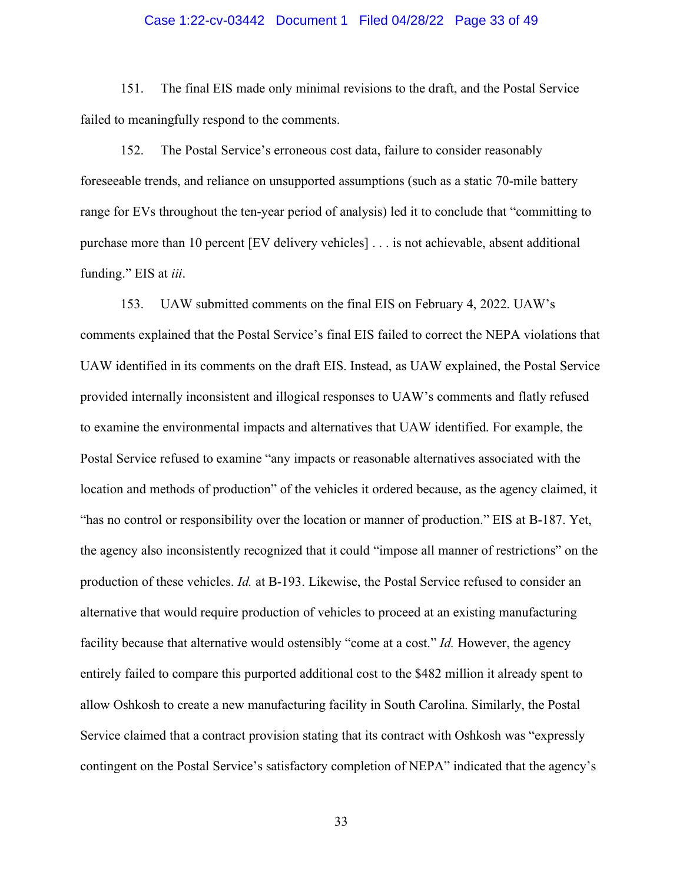# Case 1:22-cv-03442 Document 1 Filed 04/28/22 Page 33 of 49

151. The final EIS made only minimal revisions to the draft, and the Postal Service failed to meaningfully respond to the comments.

152. The Postal Service's erroneous cost data, failure to consider reasonably foreseeable trends, and reliance on unsupported assumptions (such as a static 70-mile battery range for EVs throughout the ten-year period of analysis) led it to conclude that "committing to purchase more than 10 percent [EV delivery vehicles] . . . is not achievable, absent additional funding." EIS at *iii*.

153. UAW submitted comments on the final EIS on February 4, 2022. UAW's comments explained that the Postal Service's final EIS failed to correct the NEPA violations that UAW identified in its comments on the draft EIS. Instead, as UAW explained, the Postal Service provided internally inconsistent and illogical responses to UAW's comments and flatly refused to examine the environmental impacts and alternatives that UAW identified. For example, the Postal Service refused to examine "any impacts or reasonable alternatives associated with the location and methods of production" of the vehicles it ordered because, as the agency claimed, it "has no control or responsibility over the location or manner of production." EIS at B-187. Yet, the agency also inconsistently recognized that it could "impose all manner of restrictions" on the production of these vehicles. *Id.* at B-193. Likewise, the Postal Service refused to consider an alternative that would require production of vehicles to proceed at an existing manufacturing facility because that alternative would ostensibly "come at a cost." *Id.* However, the agency entirely failed to compare this purported additional cost to the \$482 million it already spent to allow Oshkosh to create a new manufacturing facility in South Carolina. Similarly, the Postal Service claimed that a contract provision stating that its contract with Oshkosh was "expressly contingent on the Postal Service's satisfactory completion of NEPA" indicated that the agency's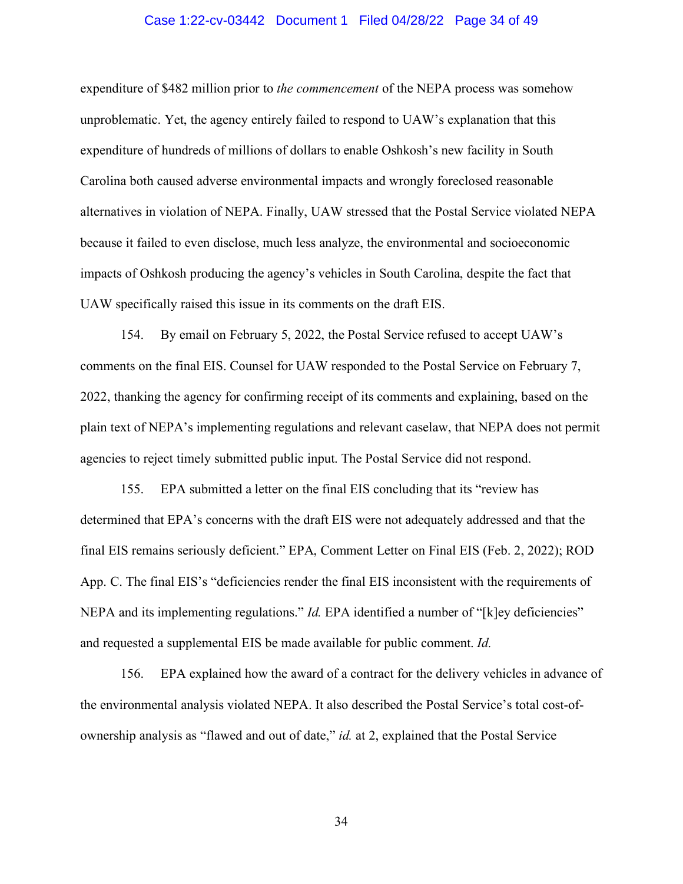# Case 1:22-cv-03442 Document 1 Filed 04/28/22 Page 34 of 49

expenditure of \$482 million prior to *the commencement* of the NEPA process was somehow unproblematic. Yet, the agency entirely failed to respond to UAW's explanation that this expenditure of hundreds of millions of dollars to enable Oshkosh's new facility in South Carolina both caused adverse environmental impacts and wrongly foreclosed reasonable alternatives in violation of NEPA. Finally, UAW stressed that the Postal Service violated NEPA because it failed to even disclose, much less analyze, the environmental and socioeconomic impacts of Oshkosh producing the agency's vehicles in South Carolina, despite the fact that UAW specifically raised this issue in its comments on the draft EIS.

154. By email on February 5, 2022, the Postal Service refused to accept UAW's comments on the final EIS. Counsel for UAW responded to the Postal Service on February 7, 2022, thanking the agency for confirming receipt of its comments and explaining, based on the plain text of NEPA's implementing regulations and relevant caselaw, that NEPA does not permit agencies to reject timely submitted public input. The Postal Service did not respond.

155. EPA submitted a letter on the final EIS concluding that its "review has determined that EPA's concerns with the draft EIS were not adequately addressed and that the final EIS remains seriously deficient." EPA, Comment Letter on Final EIS (Feb. 2, 2022); ROD App. C. The final EIS's "deficiencies render the final EIS inconsistent with the requirements of NEPA and its implementing regulations." *Id.* EPA identified a number of "[k]ey deficiencies" and requested a supplemental EIS be made available for public comment. *Id.*

156. EPA explained how the award of a contract for the delivery vehicles in advance of the environmental analysis violated NEPA. It also described the Postal Service's total cost-ofownership analysis as "flawed and out of date," *id.* at 2, explained that the Postal Service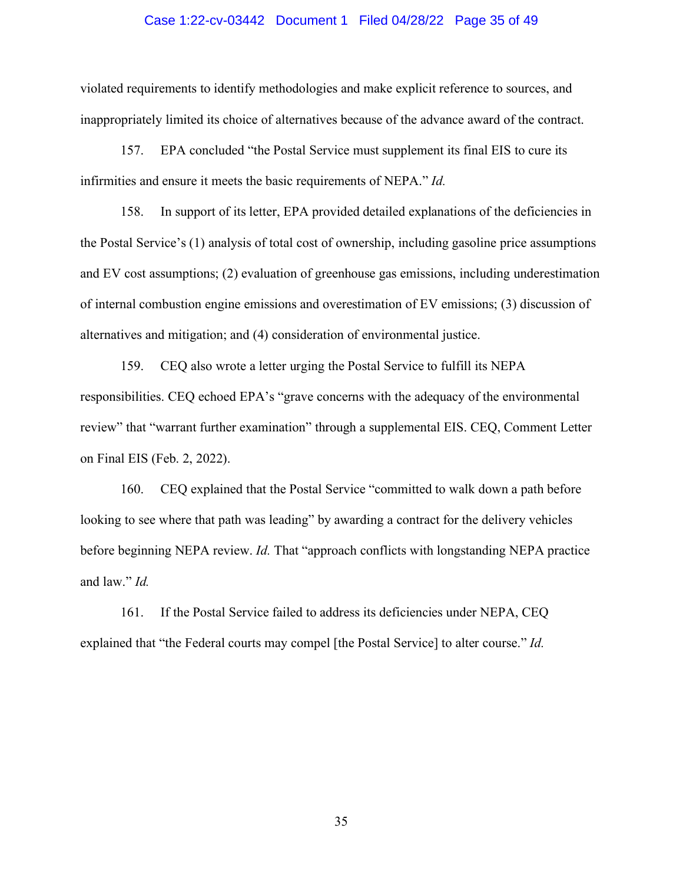### Case 1:22-cv-03442 Document 1 Filed 04/28/22 Page 35 of 49

violated requirements to identify methodologies and make explicit reference to sources, and inappropriately limited its choice of alternatives because of the advance award of the contract.

157. EPA concluded "the Postal Service must supplement its final EIS to cure its infirmities and ensure it meets the basic requirements of NEPA." *Id.*

158. In support of its letter, EPA provided detailed explanations of the deficiencies in the Postal Service's (1) analysis of total cost of ownership, including gasoline price assumptions and EV cost assumptions; (2) evaluation of greenhouse gas emissions, including underestimation of internal combustion engine emissions and overestimation of EV emissions; (3) discussion of alternatives and mitigation; and (4) consideration of environmental justice.

159. CEQ also wrote a letter urging the Postal Service to fulfill its NEPA responsibilities. CEQ echoed EPA's "grave concerns with the adequacy of the environmental review" that "warrant further examination" through a supplemental EIS. CEQ, Comment Letter on Final EIS (Feb. 2, 2022).

160. CEQ explained that the Postal Service "committed to walk down a path before looking to see where that path was leading" by awarding a contract for the delivery vehicles before beginning NEPA review. *Id.* That "approach conflicts with longstanding NEPA practice and law." *Id.*

161. If the Postal Service failed to address its deficiencies under NEPA, CEQ explained that "the Federal courts may compel [the Postal Service] to alter course." *Id.*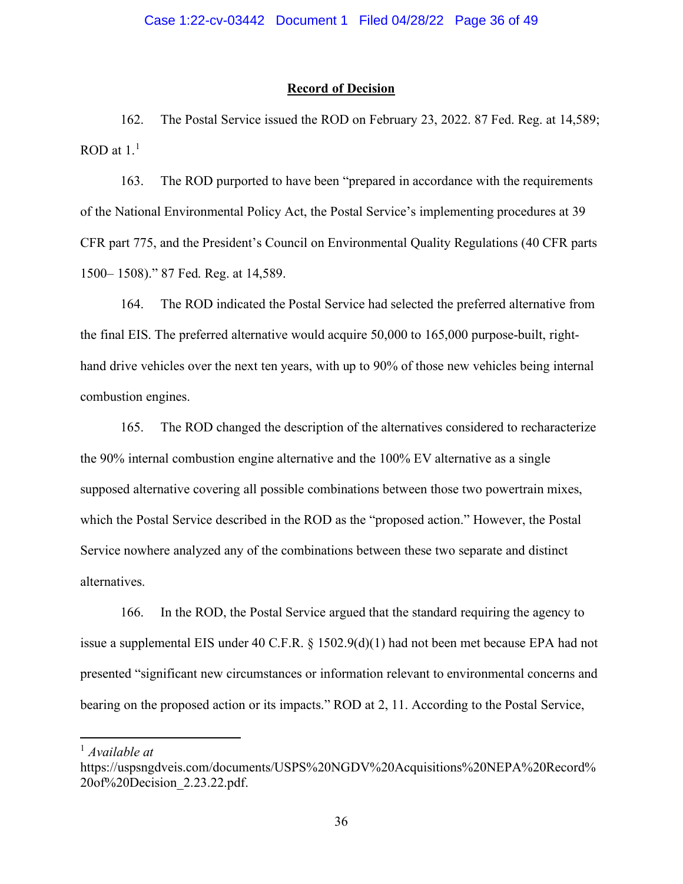# **Record of Decision**

162. The Postal Service issued the ROD on February 23, 2022. 87 Fed. Reg. at 14,589;  $ROD$  at  $1.^1$  $1.^1$ 

163. The ROD purported to have been "prepared in accordance with the requirements of the National Environmental Policy Act, the Postal Service's implementing procedures at 39 CFR part 775, and the President's Council on Environmental Quality Regulations (40 CFR parts 1500– 1508)." 87 Fed. Reg. at 14,589.

164. The ROD indicated the Postal Service had selected the preferred alternative from the final EIS. The preferred alternative would acquire 50,000 to 165,000 purpose-built, righthand drive vehicles over the next ten years, with up to 90% of those new vehicles being internal combustion engines.

165. The ROD changed the description of the alternatives considered to recharacterize the 90% internal combustion engine alternative and the 100% EV alternative as a single supposed alternative covering all possible combinations between those two powertrain mixes, which the Postal Service described in the ROD as the "proposed action." However, the Postal Service nowhere analyzed any of the combinations between these two separate and distinct alternatives.

166. In the ROD, the Postal Service argued that the standard requiring the agency to issue a supplemental EIS under 40 C.F.R.  $\S$  1502.9(d)(1) had not been met because EPA had not presented "significant new circumstances or information relevant to environmental concerns and bearing on the proposed action or its impacts." ROD at 2, 11. According to the Postal Service,

<span id="page-35-0"></span><sup>1</sup> *Available at*

https://uspsngdveis.com/documents/USPS%20NGDV%20Acquisitions%20NEPA%20Record% 20of%20Decision\_2.23.22.pdf.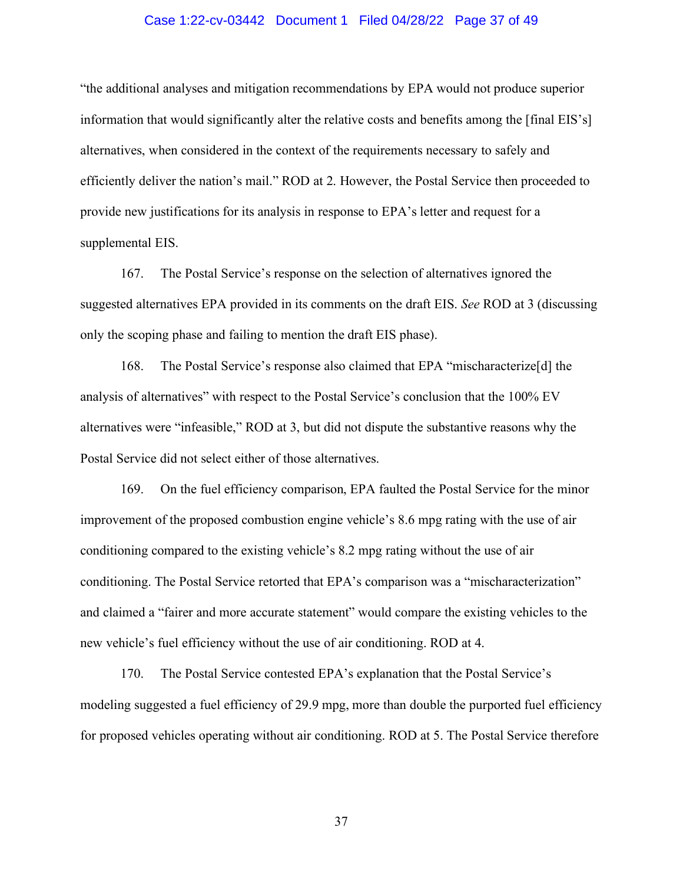# Case 1:22-cv-03442 Document 1 Filed 04/28/22 Page 37 of 49

"the additional analyses and mitigation recommendations by EPA would not produce superior information that would significantly alter the relative costs and benefits among the [final EIS's] alternatives, when considered in the context of the requirements necessary to safely and efficiently deliver the nation's mail." ROD at 2. However, the Postal Service then proceeded to provide new justifications for its analysis in response to EPA's letter and request for a supplemental EIS.

167. The Postal Service's response on the selection of alternatives ignored the suggested alternatives EPA provided in its comments on the draft EIS. *See* ROD at 3 (discussing only the scoping phase and failing to mention the draft EIS phase).

168. The Postal Service's response also claimed that EPA "mischaracterize[d] the analysis of alternatives" with respect to the Postal Service's conclusion that the 100% EV alternatives were "infeasible," ROD at 3, but did not dispute the substantive reasons why the Postal Service did not select either of those alternatives.

169. On the fuel efficiency comparison, EPA faulted the Postal Service for the minor improvement of the proposed combustion engine vehicle's 8.6 mpg rating with the use of air conditioning compared to the existing vehicle's 8.2 mpg rating without the use of air conditioning. The Postal Service retorted that EPA's comparison was a "mischaracterization" and claimed a "fairer and more accurate statement" would compare the existing vehicles to the new vehicle's fuel efficiency without the use of air conditioning. ROD at 4.

170. The Postal Service contested EPA's explanation that the Postal Service's modeling suggested a fuel efficiency of 29.9 mpg, more than double the purported fuel efficiency for proposed vehicles operating without air conditioning. ROD at 5. The Postal Service therefore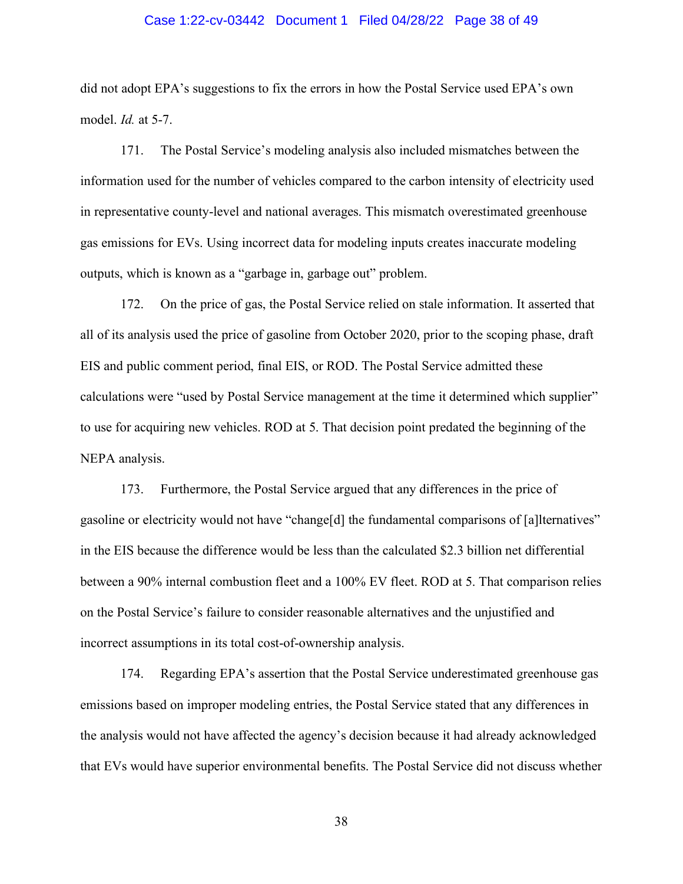# Case 1:22-cv-03442 Document 1 Filed 04/28/22 Page 38 of 49

did not adopt EPA's suggestions to fix the errors in how the Postal Service used EPA's own model. *Id.* at 5-7.

171. The Postal Service's modeling analysis also included mismatches between the information used for the number of vehicles compared to the carbon intensity of electricity used in representative county-level and national averages. This mismatch overestimated greenhouse gas emissions for EVs. Using incorrect data for modeling inputs creates inaccurate modeling outputs, which is known as a "garbage in, garbage out" problem.

172. On the price of gas, the Postal Service relied on stale information. It asserted that all of its analysis used the price of gasoline from October 2020, prior to the scoping phase, draft EIS and public comment period, final EIS, or ROD. The Postal Service admitted these calculations were "used by Postal Service management at the time it determined which supplier" to use for acquiring new vehicles. ROD at 5. That decision point predated the beginning of the NEPA analysis.

173. Furthermore, the Postal Service argued that any differences in the price of gasoline or electricity would not have "change[d] the fundamental comparisons of [a]lternatives" in the EIS because the difference would be less than the calculated \$2.3 billion net differential between a 90% internal combustion fleet and a 100% EV fleet. ROD at 5. That comparison relies on the Postal Service's failure to consider reasonable alternatives and the unjustified and incorrect assumptions in its total cost-of-ownership analysis.

174. Regarding EPA's assertion that the Postal Service underestimated greenhouse gas emissions based on improper modeling entries, the Postal Service stated that any differences in the analysis would not have affected the agency's decision because it had already acknowledged that EVs would have superior environmental benefits. The Postal Service did not discuss whether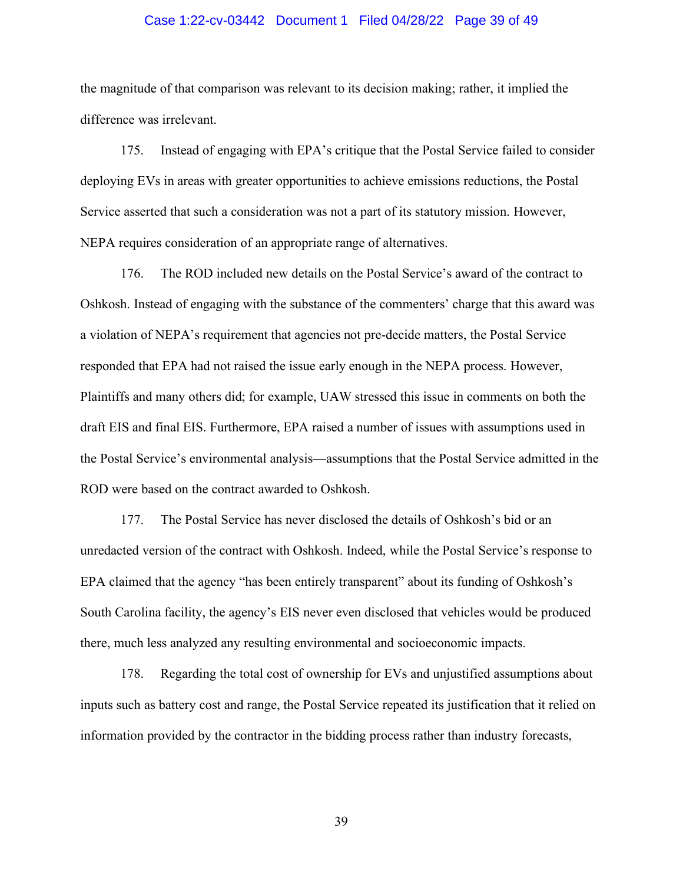# Case 1:22-cv-03442 Document 1 Filed 04/28/22 Page 39 of 49

the magnitude of that comparison was relevant to its decision making; rather, it implied the difference was irrelevant.

175. Instead of engaging with EPA's critique that the Postal Service failed to consider deploying EVs in areas with greater opportunities to achieve emissions reductions, the Postal Service asserted that such a consideration was not a part of its statutory mission. However, NEPA requires consideration of an appropriate range of alternatives.

176. The ROD included new details on the Postal Service's award of the contract to Oshkosh. Instead of engaging with the substance of the commenters' charge that this award was a violation of NEPA's requirement that agencies not pre-decide matters, the Postal Service responded that EPA had not raised the issue early enough in the NEPA process. However, Plaintiffs and many others did; for example, UAW stressed this issue in comments on both the draft EIS and final EIS. Furthermore, EPA raised a number of issues with assumptions used in the Postal Service's environmental analysis—assumptions that the Postal Service admitted in the ROD were based on the contract awarded to Oshkosh.

177. The Postal Service has never disclosed the details of Oshkosh's bid or an unredacted version of the contract with Oshkosh. Indeed, while the Postal Service's response to EPA claimed that the agency "has been entirely transparent" about its funding of Oshkosh's South Carolina facility, the agency's EIS never even disclosed that vehicles would be produced there, much less analyzed any resulting environmental and socioeconomic impacts.

178. Regarding the total cost of ownership for EVs and unjustified assumptions about inputs such as battery cost and range, the Postal Service repeated its justification that it relied on information provided by the contractor in the bidding process rather than industry forecasts,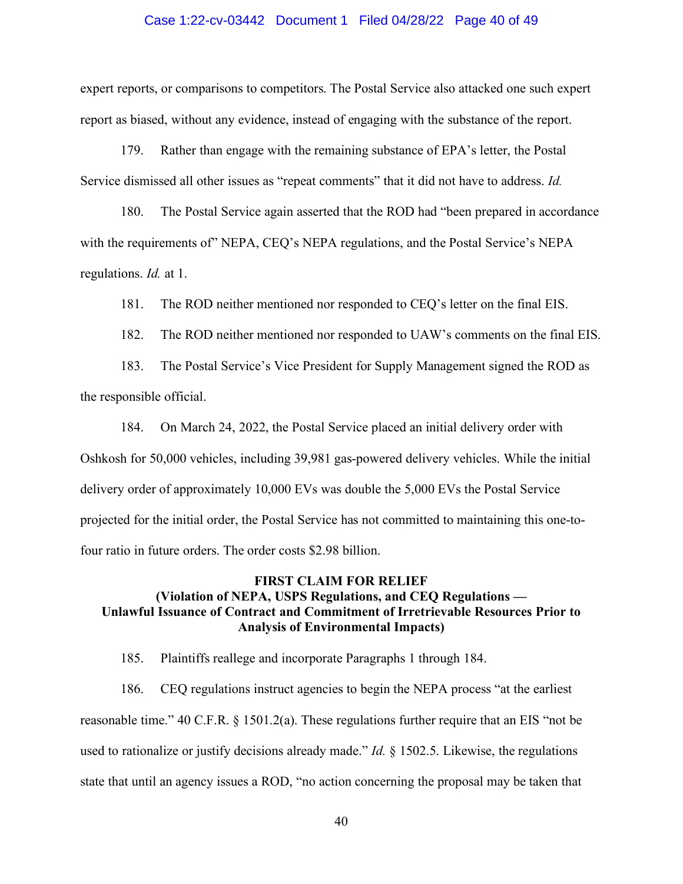### Case 1:22-cv-03442 Document 1 Filed 04/28/22 Page 40 of 49

expert reports, or comparisons to competitors. The Postal Service also attacked one such expert report as biased, without any evidence, instead of engaging with the substance of the report.

179. Rather than engage with the remaining substance of EPA's letter, the Postal Service dismissed all other issues as "repeat comments" that it did not have to address. *Id.*

180. The Postal Service again asserted that the ROD had "been prepared in accordance with the requirements of NEPA, CEQ's NEPA regulations, and the Postal Service's NEPA regulations. *Id.* at 1.

181. The ROD neither mentioned nor responded to CEQ's letter on the final EIS.

182. The ROD neither mentioned nor responded to UAW's comments on the final EIS.

183. The Postal Service's Vice President for Supply Management signed the ROD as the responsible official.

184. On March 24, 2022, the Postal Service placed an initial delivery order with Oshkosh for 50,000 vehicles, including 39,981 gas-powered delivery vehicles. While the initial delivery order of approximately 10,000 EVs was double the 5,000 EVs the Postal Service projected for the initial order, the Postal Service has not committed to maintaining this one-tofour ratio in future orders. The order costs \$2.98 billion.

# **FIRST CLAIM FOR RELIEF (Violation of NEPA, USPS Regulations, and CEQ Regulations — Unlawful Issuance of Contract and Commitment of Irretrievable Resources Prior to Analysis of Environmental Impacts)**

185. Plaintiffs reallege and incorporate Paragraphs 1 through 184.

186. CEQ regulations instruct agencies to begin the NEPA process "at the earliest reasonable time." 40 C.F.R. § 1501.2(a). These regulations further require that an EIS "not be used to rationalize or justify decisions already made." *Id.* § 1502.5. Likewise, the regulations state that until an agency issues a ROD, "no action concerning the proposal may be taken that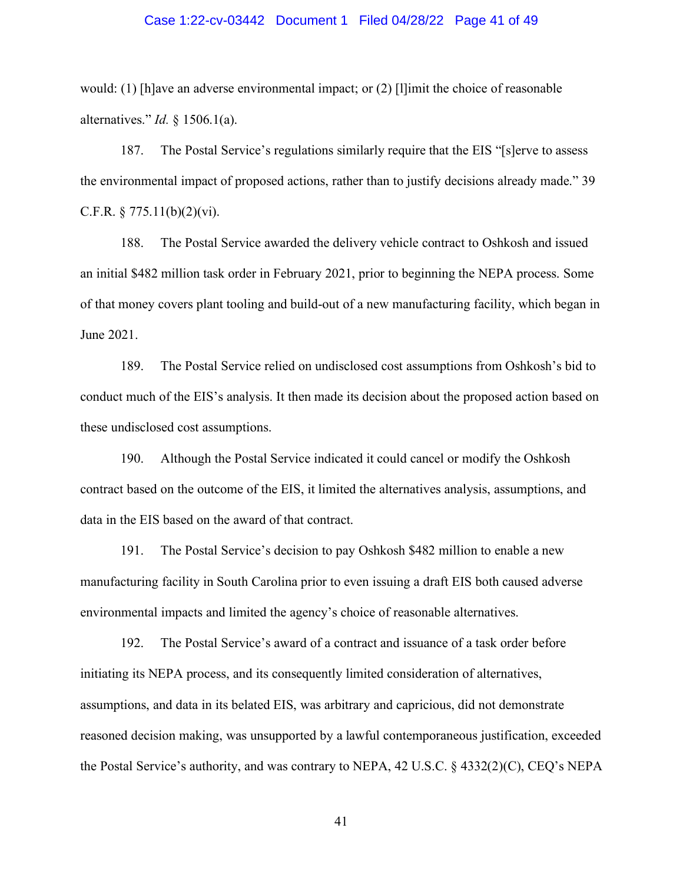# Case 1:22-cv-03442 Document 1 Filed 04/28/22 Page 41 of 49

would: (1) [h]ave an adverse environmental impact; or (2) [l]imit the choice of reasonable alternatives." *Id.* § 1506.1(a).

187. The Postal Service's regulations similarly require that the EIS "[s]erve to assess the environmental impact of proposed actions, rather than to justify decisions already made." 39 C.F.R.  $\S 775.11(b)(2)(vi)$ .

188. The Postal Service awarded the delivery vehicle contract to Oshkosh and issued an initial \$482 million task order in February 2021, prior to beginning the NEPA process. Some of that money covers plant tooling and build-out of a new manufacturing facility, which began in June 2021.

189. The Postal Service relied on undisclosed cost assumptions from Oshkosh's bid to conduct much of the EIS's analysis. It then made its decision about the proposed action based on these undisclosed cost assumptions.

190. Although the Postal Service indicated it could cancel or modify the Oshkosh contract based on the outcome of the EIS, it limited the alternatives analysis, assumptions, and data in the EIS based on the award of that contract.

191. The Postal Service's decision to pay Oshkosh \$482 million to enable a new manufacturing facility in South Carolina prior to even issuing a draft EIS both caused adverse environmental impacts and limited the agency's choice of reasonable alternatives.

192. The Postal Service's award of a contract and issuance of a task order before initiating its NEPA process, and its consequently limited consideration of alternatives, assumptions, and data in its belated EIS, was arbitrary and capricious, did not demonstrate reasoned decision making, was unsupported by a lawful contemporaneous justification, exceeded the Postal Service's authority, and was contrary to NEPA, 42 U.S.C. § 4332(2)(C), CEQ's NEPA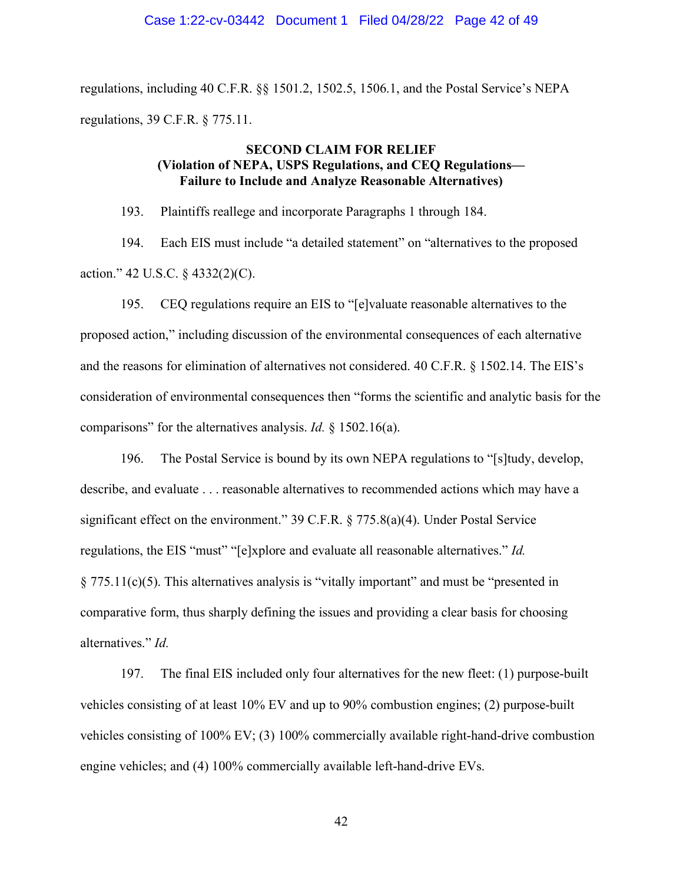regulations, including 40 C.F.R. §§ 1501.2, 1502.5, 1506.1, and the Postal Service's NEPA regulations, 39 C.F.R. § 775.11.

# **SECOND CLAIM FOR RELIEF (Violation of NEPA, USPS Regulations, and CEQ Regulations— Failure to Include and Analyze Reasonable Alternatives)**

193. Plaintiffs reallege and incorporate Paragraphs 1 through 184.

194. Each EIS must include "a detailed statement" on "alternatives to the proposed action." 42 U.S.C. § 4332(2)(C).

195. CEQ regulations require an EIS to "[e]valuate reasonable alternatives to the proposed action," including discussion of the environmental consequences of each alternative and the reasons for elimination of alternatives not considered. 40 C.F.R. § 1502.14. The EIS's consideration of environmental consequences then "forms the scientific and analytic basis for the comparisons" for the alternatives analysis. *Id.* § 1502.16(a).

196. The Postal Service is bound by its own NEPA regulations to "[s]tudy, develop, describe, and evaluate . . . reasonable alternatives to recommended actions which may have a significant effect on the environment." 39 C.F.R. § 775.8(a)(4). Under Postal Service regulations, the EIS "must" "[e]xplore and evaluate all reasonable alternatives." *Id.*  § 775.11(c)(5). This alternatives analysis is "vitally important" and must be "presented in comparative form, thus sharply defining the issues and providing a clear basis for choosing alternatives." *Id.*

197. The final EIS included only four alternatives for the new fleet: (1) purpose-built vehicles consisting of at least 10% EV and up to 90% combustion engines; (2) purpose-built vehicles consisting of 100% EV; (3) 100% commercially available right-hand-drive combustion engine vehicles; and (4) 100% commercially available left-hand-drive EVs.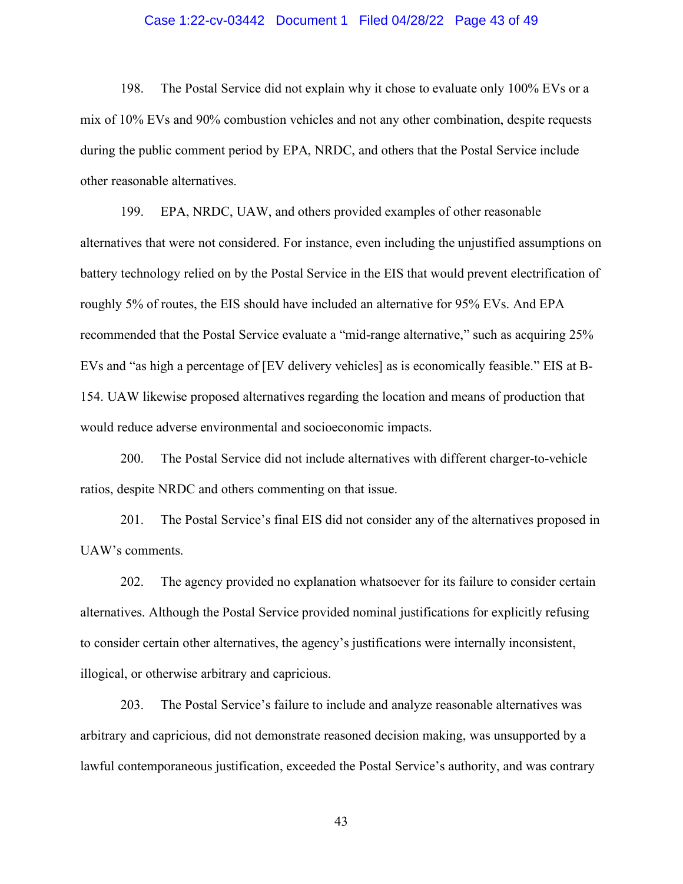# Case 1:22-cv-03442 Document 1 Filed 04/28/22 Page 43 of 49

198. The Postal Service did not explain why it chose to evaluate only 100% EVs or a mix of 10% EVs and 90% combustion vehicles and not any other combination, despite requests during the public comment period by EPA, NRDC, and others that the Postal Service include other reasonable alternatives.

199. EPA, NRDC, UAW, and others provided examples of other reasonable alternatives that were not considered. For instance, even including the unjustified assumptions on battery technology relied on by the Postal Service in the EIS that would prevent electrification of roughly 5% of routes, the EIS should have included an alternative for 95% EVs. And EPA recommended that the Postal Service evaluate a "mid-range alternative," such as acquiring 25% EVs and "as high a percentage of [EV delivery vehicles] as is economically feasible." EIS at B-154. UAW likewise proposed alternatives regarding the location and means of production that would reduce adverse environmental and socioeconomic impacts.

200. The Postal Service did not include alternatives with different charger-to-vehicle ratios, despite NRDC and others commenting on that issue.

201. The Postal Service's final EIS did not consider any of the alternatives proposed in UAW's comments.

202. The agency provided no explanation whatsoever for its failure to consider certain alternatives. Although the Postal Service provided nominal justifications for explicitly refusing to consider certain other alternatives, the agency's justifications were internally inconsistent, illogical, or otherwise arbitrary and capricious.

203. The Postal Service's failure to include and analyze reasonable alternatives was arbitrary and capricious, did not demonstrate reasoned decision making, was unsupported by a lawful contemporaneous justification, exceeded the Postal Service's authority, and was contrary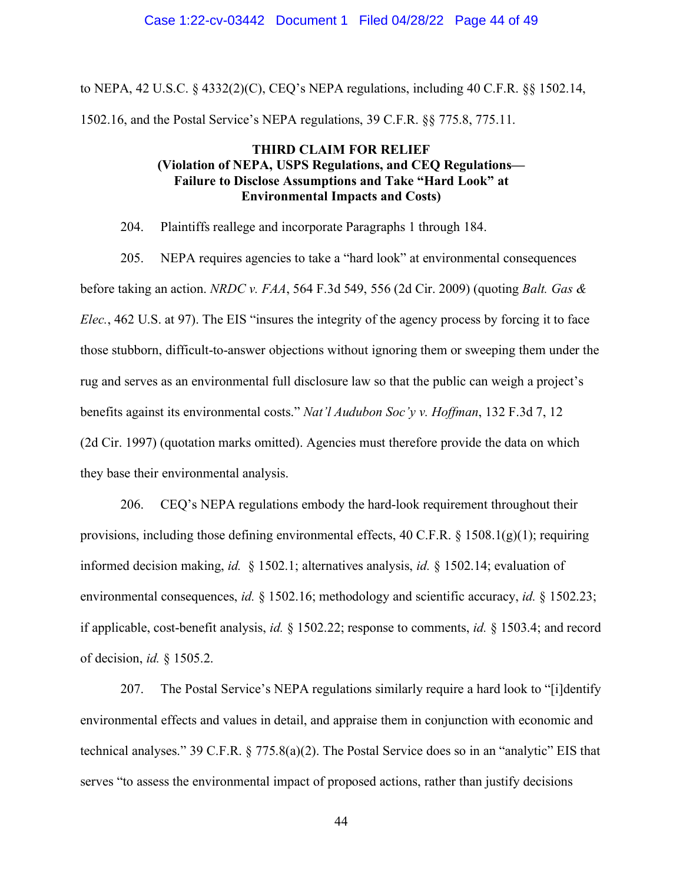### Case 1:22-cv-03442 Document 1 Filed 04/28/22 Page 44 of 49

to NEPA, 42 U.S.C. § 4332(2)(C), CEQ's NEPA regulations, including 40 C.F.R. §§ 1502.14, 1502.16, and the Postal Service's NEPA regulations, 39 C.F.R. §§ 775.8, 775.11.

# **THIRD CLAIM FOR RELIEF (Violation of NEPA, USPS Regulations, and CEQ Regulations— Failure to Disclose Assumptions and Take "Hard Look" at Environmental Impacts and Costs)**

204. Plaintiffs reallege and incorporate Paragraphs 1 through 184.

205. NEPA requires agencies to take a "hard look" at environmental consequences before taking an action. *NRDC v. FAA*, 564 F.3d 549, 556 (2d Cir. 2009) (quoting *Balt. Gas & Elec.*, 462 U.S. at 97). The EIS "insures the integrity of the agency process by forcing it to face those stubborn, difficult-to-answer objections without ignoring them or sweeping them under the rug and serves as an environmental full disclosure law so that the public can weigh a project's benefits against its environmental costs." *Nat'l Audubon Soc'y v. Hoffman*, 132 F.3d 7, 12 (2d Cir. 1997) (quotation marks omitted). Agencies must therefore provide the data on which they base their environmental analysis.

206. CEQ's NEPA regulations embody the hard-look requirement throughout their provisions, including those defining environmental effects,  $40 \text{ C.F.R.}$  §  $1508.1(g)(1)$ ; requiring informed decision making, *id.* § 1502.1; alternatives analysis, *id.* § 1502.14; evaluation of environmental consequences, *id.* § 1502.16; methodology and scientific accuracy, *id.* § 1502.23; if applicable, cost-benefit analysis, *id.* § 1502.22; response to comments, *id.* § 1503.4; and record of decision, *id.* § 1505.2.

207. The Postal Service's NEPA regulations similarly require a hard look to "[i]dentify environmental effects and values in detail, and appraise them in conjunction with economic and technical analyses." 39 C.F.R. § 775.8(a)(2). The Postal Service does so in an "analytic" EIS that serves "to assess the environmental impact of proposed actions, rather than justify decisions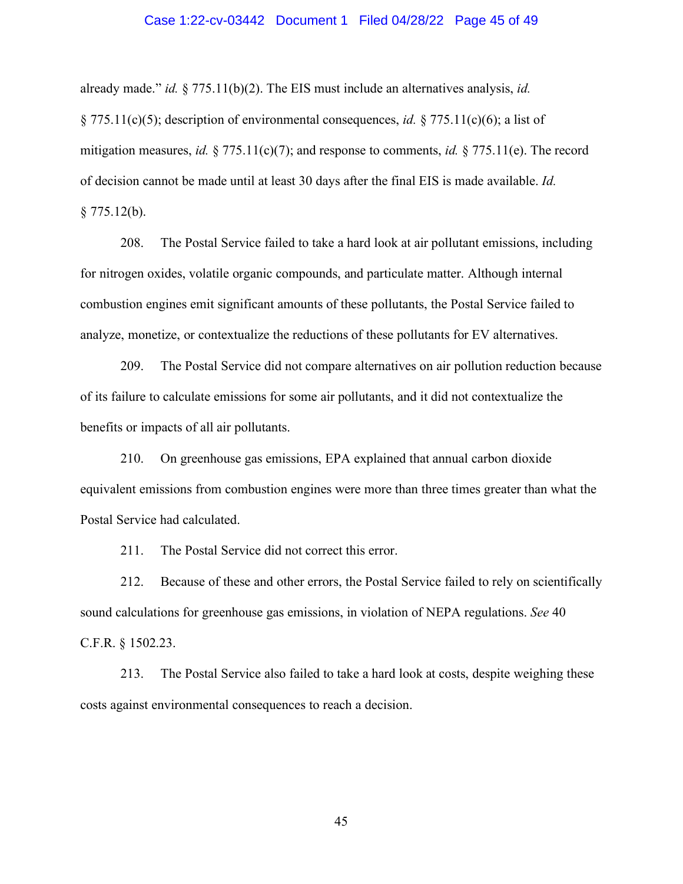# Case 1:22-cv-03442 Document 1 Filed 04/28/22 Page 45 of 49

already made." *id.* § 775.11(b)(2). The EIS must include an alternatives analysis, *id.* § 775.11(c)(5); description of environmental consequences, *id.* § 775.11(c)(6); a list of mitigation measures, *id.* § 775.11(c)(7); and response to comments, *id.* § 775.11(e). The record of decision cannot be made until at least 30 days after the final EIS is made available. *Id.*   $$775.12(b).$ 

208. The Postal Service failed to take a hard look at air pollutant emissions, including for nitrogen oxides, volatile organic compounds, and particulate matter. Although internal combustion engines emit significant amounts of these pollutants, the Postal Service failed to analyze, monetize, or contextualize the reductions of these pollutants for EV alternatives.

209. The Postal Service did not compare alternatives on air pollution reduction because of its failure to calculate emissions for some air pollutants, and it did not contextualize the benefits or impacts of all air pollutants.

210. On greenhouse gas emissions, EPA explained that annual carbon dioxide equivalent emissions from combustion engines were more than three times greater than what the Postal Service had calculated.

211. The Postal Service did not correct this error.

212. Because of these and other errors, the Postal Service failed to rely on scientifically sound calculations for greenhouse gas emissions, in violation of NEPA regulations. *See* 40 C.F.R. § 1502.23.

213. The Postal Service also failed to take a hard look at costs, despite weighing these costs against environmental consequences to reach a decision.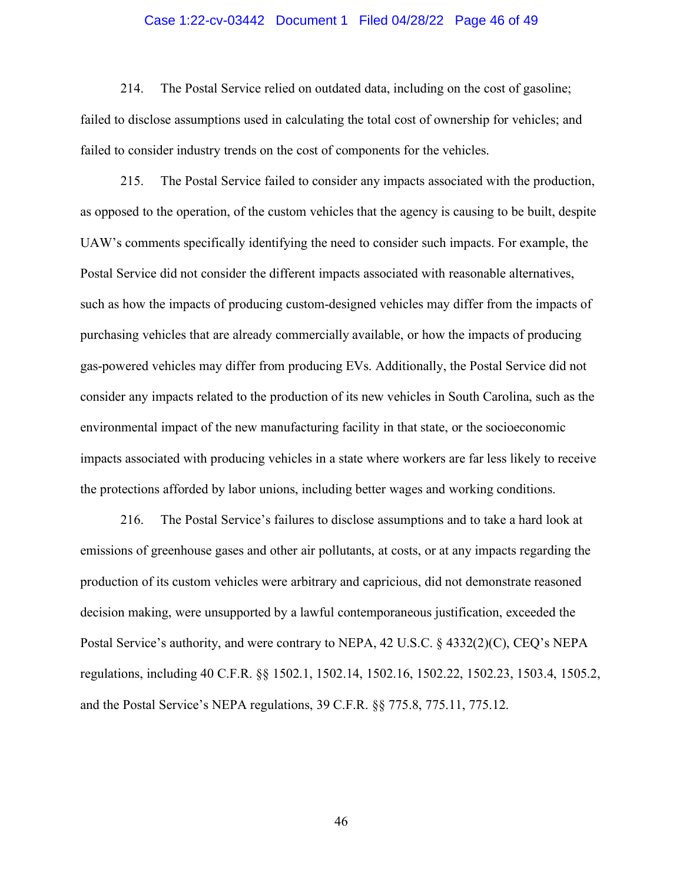# Case 1:22-cv-03442 Document 1 Filed 04/28/22 Page 46 of 49

214. The Postal Service relied on outdated data, including on the cost of gasoline; failed to disclose assumptions used in calculating the total cost of ownership for vehicles; and failed to consider industry trends on the cost of components for the vehicles.

215. The Postal Service failed to consider any impacts associated with the production, as opposed to the operation, of the custom vehicles that the agency is causing to be built, despite UAW's comments specifically identifying the need to consider such impacts. For example, the Postal Service did not consider the different impacts associated with reasonable alternatives, such as how the impacts of producing custom-designed vehicles may differ from the impacts of purchasing vehicles that are already commercially available, or how the impacts of producing gas-powered vehicles may differ from producing EVs. Additionally, the Postal Service did not consider any impacts related to the production of its new vehicles in South Carolina, such as the environmental impact of the new manufacturing facility in that state, or the socioeconomic impacts associated with producing vehicles in a state where workers are far less likely to receive the protections afforded by labor unions, including better wages and working conditions.

216. The Postal Service's failures to disclose assumptions and to take a hard look at emissions of greenhouse gases and other air pollutants, at costs, or at any impacts regarding the production of its custom vehicles were arbitrary and capricious, did not demonstrate reasoned decision making, were unsupported by a lawful contemporaneous justification, exceeded the Postal Service's authority, and were contrary to NEPA, 42 U.S.C. § 4332(2)(C), CEQ's NEPA regulations, including 40 C.F.R. §§ 1502.1, 1502.14, 1502.16, 1502.22, 1502.23, 1503.4, 1505.2, and the Postal Service's NEPA regulations, 39 C.F.R. §§ 775.8, 775.11, 775.12.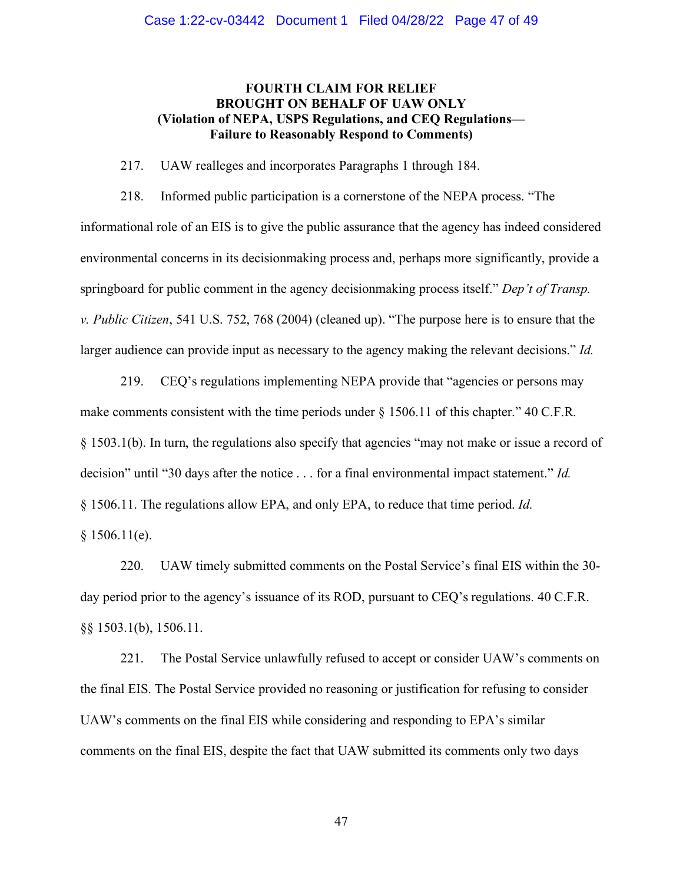# **FOURTH CLAIM FOR RELIEF BROUGHT ON BEHALF OF UAW ONLY (Violation of NEPA, USPS Regulations, and CEQ Regulations— Failure to Reasonably Respond to Comments)**

217. UAW realleges and incorporates Paragraphs 1 through 184.

218. Informed public participation is a cornerstone of the NEPA process. "The informational role of an EIS is to give the public assurance that the agency has indeed considered environmental concerns in its decisionmaking process and, perhaps more significantly, provide a springboard for public comment in the agency decisionmaking process itself." *Dep't of Transp. v. Public Citizen*, 541 U.S. 752, 768 (2004) (cleaned up). "The purpose here is to ensure that the larger audience can provide input as necessary to the agency making the relevant decisions." *Id.* 

219. CEQ's regulations implementing NEPA provide that "agencies or persons may make comments consistent with the time periods under  $\S 1506.11$  of this chapter." 40 C.F.R. § 1503.1(b). In turn, the regulations also specify that agencies "may not make or issue a record of decision" until "30 days after the notice . . . for a final environmental impact statement." *Id.*  § 1506.11. The regulations allow EPA, and only EPA, to reduce that time period. *Id.*   $§ 1506.11(e).$ 

220. UAW timely submitted comments on the Postal Service's final EIS within the 30 day period prior to the agency's issuance of its ROD, pursuant to CEQ's regulations. 40 C.F.R. §§ 1503.1(b), 1506.11.

221. The Postal Service unlawfully refused to accept or consider UAW's comments on the final EIS. The Postal Service provided no reasoning or justification for refusing to consider UAW's comments on the final EIS while considering and responding to EPA's similar comments on the final EIS, despite the fact that UAW submitted its comments only two days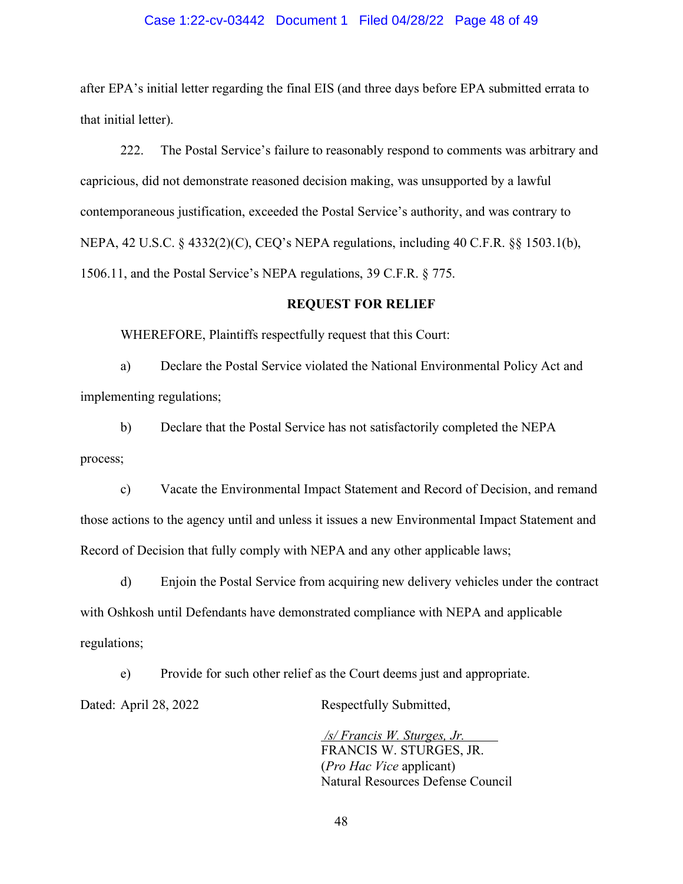# Case 1:22-cv-03442 Document 1 Filed 04/28/22 Page 48 of 49

after EPA's initial letter regarding the final EIS (and three days before EPA submitted errata to that initial letter).

222. The Postal Service's failure to reasonably respond to comments was arbitrary and capricious, did not demonstrate reasoned decision making, was unsupported by a lawful contemporaneous justification, exceeded the Postal Service's authority, and was contrary to NEPA, 42 U.S.C. § 4332(2)(C), CEQ's NEPA regulations, including 40 C.F.R. §§ 1503.1(b), 1506.11, and the Postal Service's NEPA regulations, 39 C.F.R. § 775.

# **REQUEST FOR RELIEF**

WHEREFORE, Plaintiffs respectfully request that this Court:

a) Declare the Postal Service violated the National Environmental Policy Act and implementing regulations;

b) Declare that the Postal Service has not satisfactorily completed the NEPA process;

c) Vacate the Environmental Impact Statement and Record of Decision, and remand those actions to the agency until and unless it issues a new Environmental Impact Statement and Record of Decision that fully comply with NEPA and any other applicable laws;

d) Enjoin the Postal Service from acquiring new delivery vehicles under the contract with Oshkosh until Defendants have demonstrated compliance with NEPA and applicable regulations;

e) Provide for such other relief as the Court deems just and appropriate. Dated: April 28, 2022 Respectfully Submitted,

> */s/ Francis W. Sturges, Jr.*  FRANCIS W. STURGES, JR. (*Pro Hac Vice* applicant) Natural Resources Defense Council